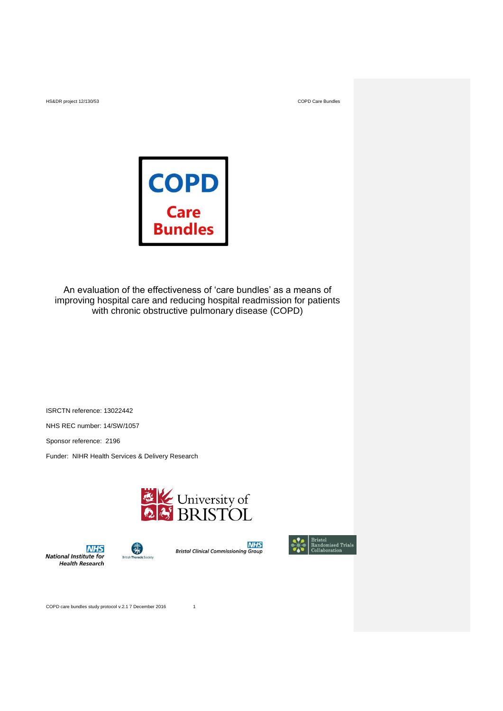

An evaluation of the effectiveness of 'care bundles' as a means of improving hospital care and reducing hospital readmission for patients with chronic obstructive pulmonary disease (COPD)

ISRCTN reference: 13022442 NHS REC number: 14/SW/1057

Sponsor reference: 2196

Funder: NIHR Health Services & Delivery Research

弱







COPD care bundles study protocol v.2.1 7 December 2016 1

**NHS** 

**National Institute for**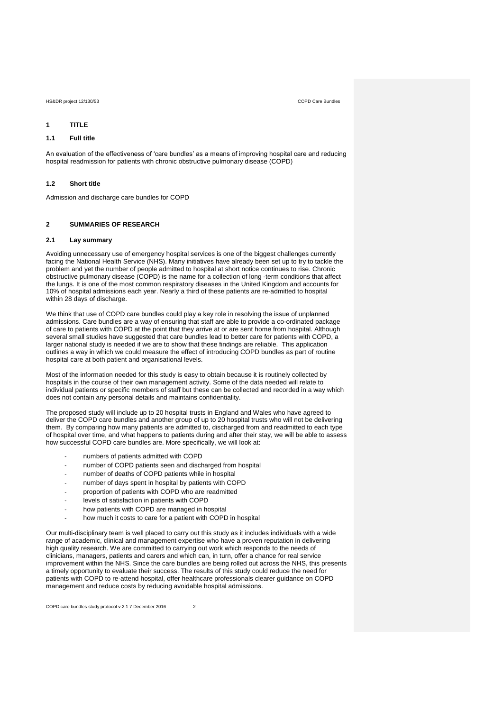# **1 TITLE**

# **1.1 Full title**

An evaluation of the effectiveness of 'care bundles' as a means of improving hospital care and reducing hospital readmission for patients with chronic obstructive pulmonary disease (COPD)

# **1.2 Short title**

Admission and discharge care bundles for COPD

# **2 SUMMARIES OF RESEARCH**

# **2.1 Lay summary**

Avoiding unnecessary use of emergency hospital services is one of the biggest challenges currently facing the National Health Service (NHS). Many initiatives have already been set up to try to tackle the problem and yet the number of people admitted to hospital at short notice continues to rise. Chronic obstructive pulmonary disease (COPD) is the name for a collection of long -term conditions that affect the lungs. It is one of the most common respiratory diseases in the United Kingdom and accounts for 10% of hospital admissions each year. Nearly a third of these patients are re-admitted to hospital within 28 days of discharge.

We think that use of COPD care bundles could play a key role in resolving the issue of unplanned admissions. Care bundles are a way of ensuring that staff are able to provide a co-ordinated package of care to patients with COPD at the point that they arrive at or are sent home from hospital. Although several small studies have suggested that care bundles lead to better care for patients with COPD, a larger national study is needed if we are to show that these findings are reliable. This application outlines a way in which we could measure the effect of introducing COPD bundles as part of routine hospital care at both patient and organisational levels.

Most of the information needed for this study is easy to obtain because it is routinely collected by hospitals in the course of their own management activity. Some of the data needed will relate to individual patients or specific members of staff but these can be collected and recorded in a way which does not contain any personal details and maintains confidentiality.

The proposed study will include up to 20 hospital trusts in England and Wales who have agreed to deliver the COPD care bundles and another group of up to 20 hospital trusts who will not be delivering them. By comparing how many patients are admitted to, discharged from and readmitted to each type of hospital over time, and what happens to patients during and after their stay, we will be able to assess how successful COPD care bundles are. More specifically, we will look at:

- numbers of patients admitted with COPD
- number of COPD patients seen and discharged from hospital
- number of deaths of COPD patients while in hospital
- number of days spent in hospital by patients with COPD
- proportion of patients with COPD who are readmitted
- levels of satisfaction in patients with COPD
- how patients with COPD are managed in hospital
- how much it costs to care for a patient with COPD in hospital

Our multi-disciplinary team is well placed to carry out this study as it includes individuals with a wide range of academic, clinical and management expertise who have a proven reputation in delivering high quality research. We are committed to carrying out work which responds to the needs of clinicians, managers, patients and carers and which can, in turn, offer a chance for real service improvement within the NHS. Since the care bundles are being rolled out across the NHS, this presents a timely opportunity to evaluate their success. The results of this study could reduce the need for patients with COPD to re-attend hospital, offer healthcare professionals clearer guidance on COPD management and reduce costs by reducing avoidable hospital admissions.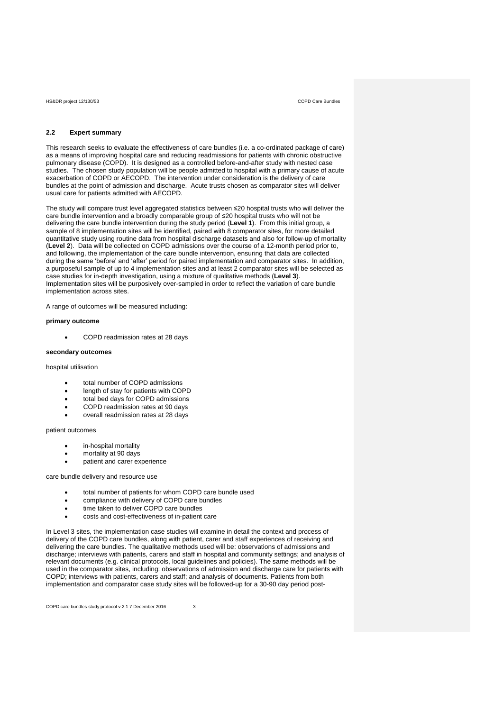# **2.2 Expert summary**

This research seeks to evaluate the effectiveness of care bundles (i.e. a co-ordinated package of care) as a means of improving hospital care and reducing readmissions for patients with chronic obstructive pulmonary disease (COPD). It is designed as a controlled before-and-after study with nested case studies. The chosen study population will be people admitted to hospital with a primary cause of acute exacerbation of COPD or AECOPD. The intervention under consideration is the delivery of care bundles at the point of admission and discharge. Acute trusts chosen as comparator sites will deliver usual care for patients admitted with AECOPD.

The study will compare trust level aggregated statistics between ≤20 hospital trusts who will deliver the care bundle intervention and a broadly comparable group of ≤20 hospital trusts who will not be delivering the care bundle intervention during the study period (**Level 1**). From this initial group, a sample of 8 implementation sites will be identified, paired with 8 comparator sites, for more detailed quantitative study using routine data from hospital discharge datasets and also for follow-up of mortality (**Level 2**). Data will be collected on COPD admissions over the course of a 12-month period prior to, and following, the implementation of the care bundle intervention, ensuring that data are collected during the same 'before' and 'after' period for paired implementation and comparator sites. In addition, a purposeful sample of up to 4 implementation sites and at least 2 comparator sites will be selected as case studies for in-depth investigation, using a mixture of qualitative methods (**Level 3**). Implementation sites will be purposively over-sampled in order to reflect the variation of care bundle implementation across sites.

A range of outcomes will be measured including:

### **primary outcome**

COPD readmission rates at 28 days

### **secondary outcomes**

hospital utilisation

- total number of COPD admissions
- length of stay for patients with COPD
- total bed days for COPD admissions
- COPD readmission rates at 90 days
- overall readmission rates at 28 days

# patient outcomes

- in-hospital mortality
- mortality at 90 days
- patient and carer experience

# care bundle delivery and resource use

- total number of patients for whom COPD care bundle used
- compliance with delivery of COPD care bundles
- time taken to deliver COPD care bundles
- costs and cost-effectiveness of in-patient care

In Level 3 sites, the implementation case studies will examine in detail the context and process of delivery of the COPD care bundles, along with patient, carer and staff experiences of receiving and delivering the care bundles. The qualitative methods used will be: observations of admissions and discharge; interviews with patients, carers and staff in hospital and community settings; and analysis of relevant documents (e.g. clinical protocols, local guidelines and policies). The same methods will be used in the comparator sites, including: observations of admission and discharge care for patients with COPD; interviews with patients, carers and staff; and analysis of documents. Patients from both implementation and comparator case study sites will be followed-up for a 30-90 day period post-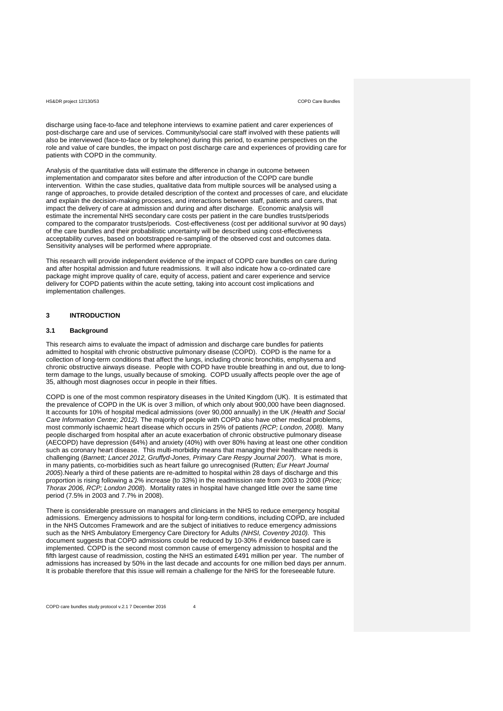discharge using face-to-face and telephone interviews to examine patient and carer experiences of post-discharge care and use of services. Community/social care staff involved with these patients will also be interviewed (face-to-face or by telephone) during this period, to examine perspectives on the role and value of care bundles, the impact on post discharge care and experiences of providing care for patients with COPD in the community.

Analysis of the quantitative data will estimate the difference in change in outcome between implementation and comparator sites before and after introduction of the COPD care bundle intervention. Within the case studies, qualitative data from multiple sources will be analysed using a range of approaches, to provide detailed description of the context and processes of care, and elucidate and explain the decision-making processes, and interactions between staff, patients and carers, that impact the delivery of care at admission and during and after discharge. Economic analysis will estimate the incremental NHS secondary care costs per patient in the care bundles trusts/periods compared to the comparator trusts/periods. Cost-effectiveness (cost per additional survivor at 90 days) of the care bundles and their probabilistic uncertainty will be described using cost-effectiveness acceptability curves, based on bootstrapped re-sampling of the observed cost and outcomes data. Sensitivity analyses will be performed where appropriate.

This research will provide independent evidence of the impact of COPD care bundles on care during and after hospital admission and future readmissions. It will also indicate how a co-ordinated care package might improve quality of care, equity of access, patient and carer experience and service delivery for COPD patients within the acute setting, taking into account cost implications and implementation challenges.

# **3 INTRODUCTION**

# **3.1 Background**

This research aims to evaluate the impact of admission and discharge care bundles for patients admitted to hospital with chronic obstructive pulmonary disease (COPD). COPD is the name for a collection of long-term conditions that affect the lungs, including chronic bronchitis, emphysema and chronic obstructive airways disease. People with COPD have trouble breathing in and out, due to longterm damage to the lungs, usually because of smoking. COPD usually affects people over the age of 35, although most diagnoses occur in people in their fifties.

COPD is one of the most common respiratory diseases in the United Kingdom (UK). It is estimated that the prevalence of COPD in the UK is over 3 million, of which only about 900,000 have been diagnosed. It accounts for 10% of hospital medical admissions (over 90,000 annually) in the UK *(Health and Social Care Information Centre; 2012).* The majority of people with COPD also have other medical problems, most commonly ischaemic heart disease which occurs in 25% of patients *(RCP; London, 2008).* Many people discharged from hospital after an acute exacerbation of chronic obstructive pulmonary disease (AECOPD) have depression (64%) and anxiety (40%) with over 80% having at least one other condition such as coronary heart disease. This multi-morbidity means that managing their healthcare needs is challenging (*Barnett; Lancet 2012, Gruffyd-Jones, Primary Care Respy Journal 2007*). What is more, in many patients, co-morbidities such as heart failure go unrecognised (Rutten*; Eur Heart Journal 2005*).Nearly a third of these patients are re-admitted to hospital within 28 days of discharge and this proportion is rising following a 2% increase (to 33%) in the readmission rate from 2003 to 2008 (*Price; Thorax 2006, RCP; London 2008*). Mortality rates in hospital have changed little over the same time period (7.5% in 2003 and 7.7% in 2008).

There is considerable pressure on managers and clinicians in the NHS to reduce emergency hospital admissions. Emergency admissions to hospital for long-term conditions, including COPD, are included in the NHS Outcomes Framework and are the subject of initiatives to reduce emergency admissions such as the NHS Ambulatory Emergency Care Directory for Adults *(NHSI, Coventry 2010).* This document suggests that COPD admissions could be reduced by 10-30% if evidence based care is implemented. COPD is the second most common cause of emergency admission to hospital and the fifth largest cause of readmission, costing the NHS an estimated £491 million per year. The number of admissions has increased by 50% in the last decade and accounts for one million bed days per annum. It is probable therefore that this issue will remain a challenge for the NHS for the foreseeable future.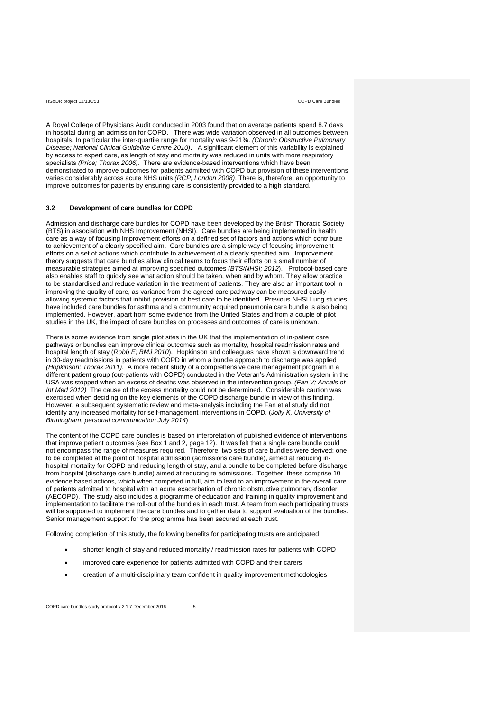A Royal College of Physicians Audit conducted in 2003 found that on average patients spend 8.7 days in hospital during an admission for COPD. There was wide variation observed in all outcomes between hospitals. In particular the inter-quartile range for mortality was 9-21%. *(Chronic Obstructive Pulmonary Disease; National Clinical Guideline Centre 2010)*. A significant element of this variability is explained by access to expert care, as length of stay and mortality was reduced in units with more respiratory specialists *(Price; Thorax 2006)*. There are evidence-based interventions which have been demonstrated to improve outcomes for patients admitted with COPD but provision of these interventions varies considerably across acute NHS units *(RCP; London 2008)*. There is, therefore, an opportunity to improve outcomes for patients by ensuring care is consistently provided to a high standard.

# **3.2 Development of care bundles for COPD**

Admission and discharge care bundles for COPD have been developed by the British Thoracic Society (BTS) in association with NHS Improvement (NHSI). Care bundles are being implemented in health care as a way of focusing improvement efforts on a defined set of factors and actions which contribute to achievement of a clearly specified aim. Care bundles are a simple way of focusing improvement efforts on a set of actions which contribute to achievement of a clearly specified aim. Improvement theory suggests that care bundles allow clinical teams to focus their efforts on a small number of measurable strategies aimed at improving specified outcomes *(BTS/NHSI; 2012*). Protocol-based care also enables staff to quickly see what action should be taken, when and by whom. They allow practice to be standardised and reduce variation in the treatment of patients. They are also an important tool in improving the quality of care, as variance from the agreed care pathway can be measured easily allowing systemic factors that inhibit provision of best care to be identified. Previous NHSI Lung studies have included care bundles for asthma and a community acquired pneumonia care bundle is also being implemented. However, apart from some evidence from the United States and from a couple of pilot studies in the UK, the impact of care bundles on processes and outcomes of care is unknown.

There is some evidence from single pilot sites in the UK that the implementation of in-patient care pathways or bundles can improve clinical outcomes such as mortality, hospital readmission rates and hospital length of stay (*Robb E; BMJ 2010*). Hopkinson and colleagues have shown a downward trend in 30-day readmissions in patients with COPD in whom a bundle approach to discharge was applied *(Hopkinson; Thorax 2011)*. A more recent study of a comprehensive care management program in a different patient group (out-patients with COPD) conducted in the Veteran's Administration system in the USA was stopped when an excess of deaths was observed in the intervention group. *(Fan V; Annals of Int Med 2012)* The cause of the excess mortality could not be determined. Considerable caution was exercised when deciding on the key elements of the COPD discharge bundle in view of this finding. However, a subsequent systematic review and meta-analysis including the Fan et al study did not identify any increased mortality for self-management interventions in COPD. (*Jolly K, University of Birmingham, personal communication July 2014*)

The content of the COPD care bundles is based on interpretation of published evidence of interventions that improve patient outcomes (see Box 1 and 2, page 12). It was felt that a single care bundle could not encompass the range of measures required. Therefore, two sets of care bundles were derived: one to be completed at the point of hospital admission (admissions care bundle), aimed at reducing inhospital mortality for COPD and reducing length of stay, and a bundle to be completed before discharge from hospital (discharge care bundle) aimed at reducing re-admissions. Together, these comprise 10 evidence based actions, which when competed in full, aim to lead to an improvement in the overall care of patients admitted to hospital with an acute exacerbation of chronic obstructive pulmonary disorder (AECOPD). The study also includes a programme of education and training in quality improvement and implementation to facilitate the roll-out of the bundles in each trust. A team from each participating trusts will be supported to implement the care bundles and to gather data to support evaluation of the bundles. Senior management support for the programme has been secured at each trust.

Following completion of this study, the following benefits for participating trusts are anticipated:

- shorter length of stay and reduced mortality / readmission rates for patients with COPD
- improved care experience for patients admitted with COPD and their carers
- creation of a multi-disciplinary team confident in quality improvement methodologies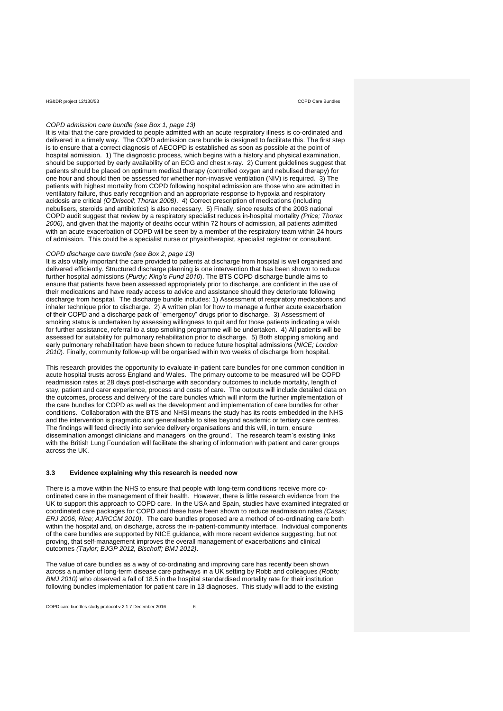# *COPD admission care bundle (see Box 1, page 13)*

It is vital that the care provided to people admitted with an acute respiratory illness is co-ordinated and delivered in a timely way. The COPD admission care bundle is designed to facilitate this. The first step is to ensure that a correct diagnosis of AECOPD is established as soon as possible at the point of hospital admission. 1) The diagnostic process, which begins with a history and physical examination, should be supported by early availability of an ECG and chest x-ray. 2) Current guidelines suggest that patients should be placed on optimum medical therapy (controlled oxygen and nebulised therapy) for one hour and should then be assessed for whether non-invasive ventilation (NIV) is required. 3) The patients with highest mortality from COPD following hospital admission are those who are admitted in ventilatory failure, thus early recognition and an appropriate response to hypoxia and respiratory acidosis are critical *(O'Driscoll; Thorax 2008)*. 4) Correct prescription of medications (including nebulisers, steroids and antibiotics) is also necessary. 5) Finally, since results of the 2003 national COPD audit suggest that review by a respiratory specialist reduces in-hospital mortality *(Price; Thorax 2006),* and given that the majority of deaths occur within 72 hours of admission, all patients admitted with an acute exacerbation of COPD will be seen by a member of the respiratory team within 24 hours of admission. This could be a specialist nurse or physiotherapist, specialist registrar or consultant.

# *COPD discharge care bundle (see Box 2, page 13)*

It is also vitally important the care provided to patients at discharge from hospital is well organised and delivered efficiently. Structured discharge planning is one intervention that has been shown to reduce further hospital admissions (*Purdy; King's Fund 2010*). The BTS COPD discharge bundle aims to ensure that patients have been assessed appropriately prior to discharge, are confident in the use of their medications and have ready access to advice and assistance should they deteriorate following discharge from hospital. The discharge bundle includes: 1) Assessment of respiratory medications and inhaler technique prior to discharge. 2) A written plan for how to manage a further acute exacerbation of their COPD and a discharge pack of "emergency" drugs prior to discharge. 3) Assessment of smoking status is undertaken by assessing willingness to quit and for those patients indicating a wish for further assistance, referral to a stop smoking programme will be undertaken. 4) All patients will be assessed for suitability for pulmonary rehabilitation prior to discharge. 5) Both stopping smoking and early pulmonary rehabilitation have been shown to reduce future hospital admissions (*NICE; London 2010*). Finally, community follow-up will be organised within two weeks of discharge from hospital.

This research provides the opportunity to evaluate in-patient care bundles for one common condition in acute hospital trusts across England and Wales. The primary outcome to be measured will be COPD readmission rates at 28 days post-discharge with secondary outcomes to include mortality, length of stay, patient and carer experience, process and costs of care. The outputs will include detailed data on the outcomes, process and delivery of the care bundles which will inform the further implementation of the care bundles for COPD as well as the development and implementation of care bundles for other conditions. Collaboration with the BTS and NHSI means the study has its roots embedded in the NHS and the intervention is pragmatic and generalisable to sites beyond academic or tertiary care centres. The findings will feed directly into service delivery organisations and this will, in turn, ensure dissemination amongst clinicians and managers 'on the ground'. The research team's existing links with the British Lung Foundation will facilitate the sharing of information with patient and carer groups across the UK.

### **3.3 Evidence explaining why this research is needed now**

There is a move within the NHS to ensure that people with long-term conditions receive more coordinated care in the management of their health. However, there is little research evidence from the UK to support this approach to COPD care. In the USA and Spain, studies have examined integrated or coordinated care packages for COPD and these have been shown to reduce readmission rates *(Casas; ERJ 2006, Rice; AJRCCM 2010)*. The care bundles proposed are a method of co-ordinating care both within the hospital and, on discharge, across the in-patient-community interface. Individual components of the care bundles are supported by NICE guidance, with more recent evidence suggesting, but not proving, that self-management improves the overall management of exacerbations and clinical outcomes *(Taylor; BJGP 2012, Bischoff; BMJ 2012)*.

The value of care bundles as a way of co-ordinating and improving care has recently been shown across a number of long-term disease care pathways in a UK setting by Robb and colleagues *(Robb; BMJ 2010)* who observed a fall of 18.5 in the hospital standardised mortality rate for their institution following bundles implementation for patient care in 13 diagnoses. This study will add to the existing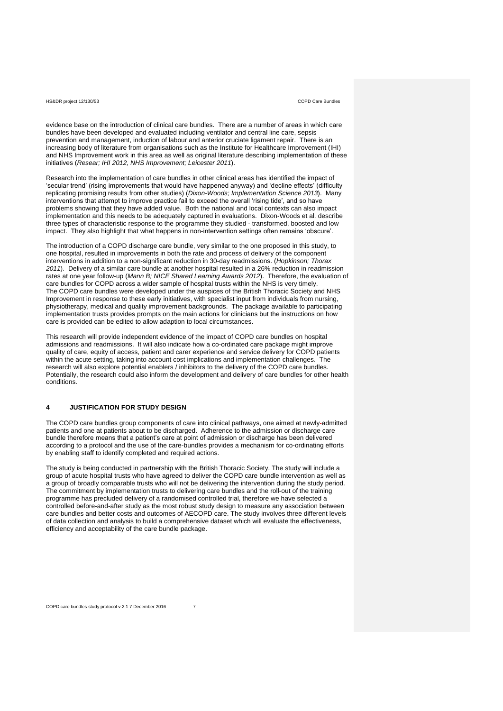evidence base on the introduction of clinical care bundles. There are a number of areas in which care bundles have been developed and evaluated including ventilator and central line care, sepsis prevention and management, induction of labour and anterior cruciate ligament repair. There is an increasing body of literature from organisations such as the Institute for Healthcare Improvement (IHI) and NHS Improvement work in this area as well as original literature describing implementation of these initiatives (*Resear; IHI 2012, NHS Improvement; Leicester 2011*).

Research into the implementation of care bundles in other clinical areas has identified the impact of 'secular trend' (rising improvements that would have happened anyway) and 'decline effects' (difficulty replicating promising results from other studies) (*Dixon-Woods; Implementation Science 2013*). Many interventions that attempt to improve practice fail to exceed the overall 'rising tide', and so have problems showing that they have added value. Both the national and local contexts can also impact implementation and this needs to be adequately captured in evaluations. Dixon-Woods et al. describe three types of characteristic response to the programme they studied - transformed, boosted and low impact. They also highlight that what happens in non-intervention settings often remains 'obscure'.

The introduction of a COPD discharge care bundle, very similar to the one proposed in this study, to one hospital, resulted in improvements in both the rate and process of delivery of the component interventions in addition to a non-significant reduction in 30-day readmissions. (*Hopkinson; Thorax 2011*). Delivery of a similar care bundle at another hospital resulted in a 26% reduction in readmission rates at one year follow-up (*Mann B; NICE Shared Learning Awards 2012*). Therefore, the evaluation of care bundles for COPD across a wider sample of hospital trusts within the NHS is very timely. The COPD care bundles were developed under the auspices of the British Thoracic Society and NHS Improvement in response to these early initiatives, with specialist input from individuals from nursing, physiotherapy, medical and quality improvement backgrounds. The package available to participating implementation trusts provides prompts on the main actions for clinicians but the instructions on how care is provided can be edited to allow adaption to local circumstances.

This research will provide independent evidence of the impact of COPD care bundles on hospital admissions and readmissions. It will also indicate how a co-ordinated care package might improve quality of care, equity of access, patient and carer experience and service delivery for COPD patients within the acute setting, taking into account cost implications and implementation challenges. The research will also explore potential enablers / inhibitors to the delivery of the COPD care bundles. Potentially, the research could also inform the development and delivery of care bundles for other health conditions.

# **4 JUSTIFICATION FOR STUDY DESIGN**

The COPD care bundles group components of care into clinical pathways, one aimed at newly-admitted patients and one at patients about to be discharged. Adherence to the admission or discharge care bundle therefore means that a patient's care at point of admission or discharge has been delivered according to a protocol and the use of the care-bundles provides a mechanism for co-ordinating efforts by enabling staff to identify completed and required actions.

The study is being conducted in partnership with the British Thoracic Society. The study will include a group of acute hospital trusts who have agreed to deliver the COPD care bundle intervention as well as a group of broadly comparable trusts who will not be delivering the intervention during the study period. The commitment by implementation trusts to delivering care bundles and the roll-out of the training programme has precluded delivery of a randomised controlled trial, therefore we have selected a controlled before-and-after study as the most robust study design to measure any association between care bundles and better costs and outcomes of AECOPD care. The study involves three different levels of data collection and analysis to build a comprehensive dataset which will evaluate the effectiveness, efficiency and acceptability of the care bundle package.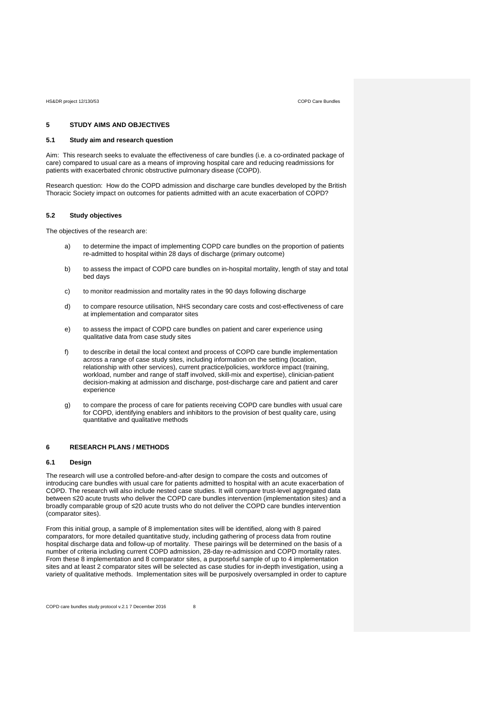# **5 STUDY AIMS AND OBJECTIVES**

# **5.1 Study aim and research question**

Aim: This research seeks to evaluate the effectiveness of care bundles (i.e. a co-ordinated package of care) compared to usual care as a means of improving hospital care and reducing readmissions for patients with exacerbated chronic obstructive pulmonary disease (COPD).

Research question: How do the COPD admission and discharge care bundles developed by the British Thoracic Society impact on outcomes for patients admitted with an acute exacerbation of COPD?

# **5.2 Study objectives**

The objectives of the research are:

- a) to determine the impact of implementing COPD care bundles on the proportion of patients re-admitted to hospital within 28 days of discharge (primary outcome)
- b) to assess the impact of COPD care bundles on in-hospital mortality, length of stay and total bed days
- c) to monitor readmission and mortality rates in the 90 days following discharge
- d) to compare resource utilisation, NHS secondary care costs and cost-effectiveness of care at implementation and comparator sites
- e) to assess the impact of COPD care bundles on patient and carer experience using qualitative data from case study sites
- f) to describe in detail the local context and process of COPD care bundle implementation across a range of case study sites, including information on the setting (location, relationship with other services), current practice/policies, workforce impact (training, workload, number and range of staff involved, skill-mix and expertise), clinician-patient decision-making at admission and discharge, post-discharge care and patient and carer experience
- g) to compare the process of care for patients receiving COPD care bundles with usual care for COPD, identifying enablers and inhibitors to the provision of best quality care, using quantitative and qualitative methods

# **6 RESEARCH PLANS / METHODS**

## **6.1 Design**

The research will use a controlled before-and-after design to compare the costs and outcomes of introducing care bundles with usual care for patients admitted to hospital with an acute exacerbation of COPD. The research will also include nested case studies. It will compare trust-level aggregated data between ≤20 acute trusts who deliver the COPD care bundles intervention (implementation sites) and a broadly comparable group of ≤20 acute trusts who do not deliver the COPD care bundles intervention (comparator sites).

From this initial group, a sample of 8 implementation sites will be identified, along with 8 paired comparators, for more detailed quantitative study, including gathering of process data from routine hospital discharge data and follow-up of mortality. These pairings will be determined on the basis of a number of criteria including current COPD admission, 28-day re-admission and COPD mortality rates. From these 8 implementation and 8 comparator sites, a purposeful sample of up to 4 implementation sites and at least 2 comparator sites will be selected as case studies for in-depth investigation, using a variety of qualitative methods. Implementation sites will be purposively oversampled in order to capture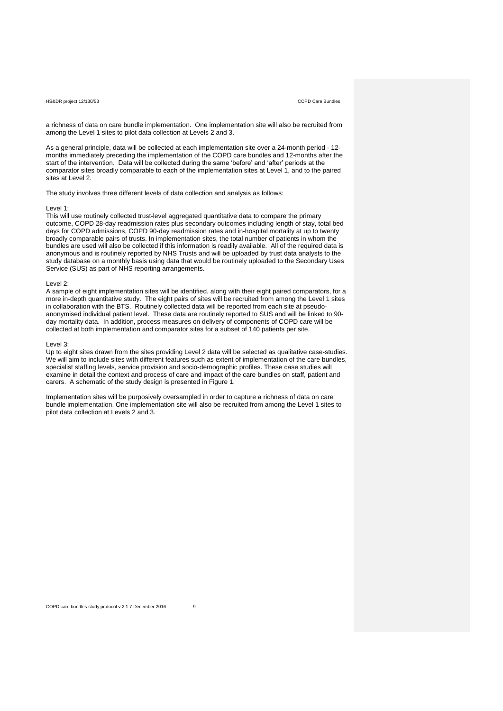a richness of data on care bundle implementation. One implementation site will also be recruited from among the Level 1 sites to pilot data collection at Levels 2 and 3.

As a general principle, data will be collected at each implementation site over a 24-month period - 12 months immediately preceding the implementation of the COPD care bundles and 12-months after the start of the intervention. Data will be collected during the same 'before' and 'after' periods at the comparator sites broadly comparable to each of the implementation sites at Level 1, and to the paired sites at Level 2.

The study involves three different levels of data collection and analysis as follows:

# Level 1:

This will use routinely collected trust-level aggregated quantitative data to compare the primary outcome, COPD 28-day readmission rates plus secondary outcomes including length of stay, total bed days for COPD admissions, COPD 90-day readmission rates and in-hospital mortality at up to twenty broadly comparable pairs of trusts. In implementation sites, the total number of patients in whom the bundles are used will also be collected if this information is readily available. All of the required data is anonymous and is routinely reported by NHS Trusts and will be uploaded by trust data analysts to the study database on a monthly basis using data that would be routinely uploaded to the Secondary Uses Service (SUS) as part of NHS reporting arrangements.

#### Level 2:

A sample of eight implementation sites will be identified, along with their eight paired comparators, for a more in-depth quantitative study. The eight pairs of sites will be recruited from among the Level 1 sites in collaboration with the BTS. Routinely collected data will be reported from each site at pseudoanonymised individual patient level. These data are routinely reported to SUS and will be linked to 90 day mortality data. In addition, process measures on delivery of components of COPD care will be collected at both implementation and comparator sites for a subset of 140 patients per site.

#### Level 3:

Up to eight sites drawn from the sites providing Level 2 data will be selected as qualitative case-studies. We will aim to include sites with different features such as extent of implementation of the care bundles, specialist staffing levels, service provision and socio-demographic profiles. These case studies will examine in detail the context and process of care and impact of the care bundles on staff, patient and carers. A schematic of the study design is presented in Figure 1.

Implementation sites will be purposively oversampled in order to capture a richness of data on care bundle implementation. One implementation site will also be recruited from among the Level 1 sites to pilot data collection at Levels 2 and 3.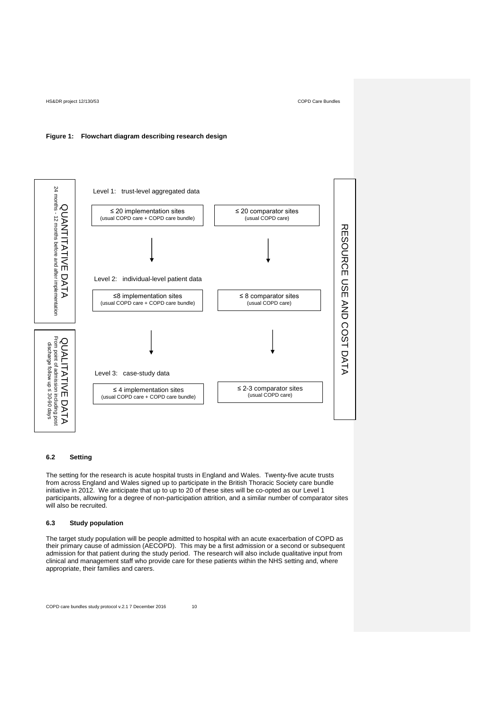# **Figure 1: Flowchart diagram describing research design**



# **6.2 Setting**

The setting for the research is acute hospital trusts in England and Wales. Twenty-five acute trusts from across England and Wales signed up to participate in the British Thoracic Society care bundle initiative in 2012. We anticipate that up to up to 20 of these sites will be co-opted as our Level 1 participants, allowing for a degree of non-participation attrition, and a similar number of comparator sites will also be recruited.

# **6.3 Study population**

The target study population will be people admitted to hospital with an acute exacerbation of COPD as their primary cause of admission (AECOPD). This may be a first admission or a second or subsequent admission for that patient during the study period. The research will also include qualitative input from clinical and management staff who provide care for these patients within the NHS setting and, where appropriate, their families and carers.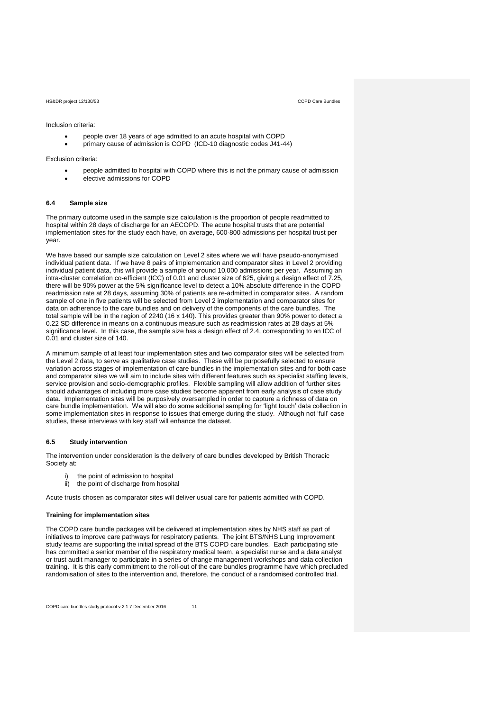Inclusion criteria:

- people over 18 years of age admitted to an acute hospital with COPD
- primary cause of admission is COPD (ICD-10 diagnostic codes J41-44)

Exclusion criteria:

- people admitted to hospital with COPD where this is not the primary cause of admission elective admissions for COPD
- **6.4 Sample size**

The primary outcome used in the sample size calculation is the proportion of people readmitted to hospital within 28 days of discharge for an AECOPD. The acute hospital trusts that are potential implementation sites for the study each have, on average, 600-800 admissions per hospital trust per year.

We have based our sample size calculation on Level 2 sites where we will have pseudo-anonymised individual patient data. If we have 8 pairs of implementation and comparator sites in Level 2 providing individual patient data, this will provide a sample of around 10,000 admissions per year. Assuming an intra-cluster correlation co-efficient (ICC) of 0.01 and cluster size of 625, giving a design effect of 7.25, there will be 90% power at the 5% significance level to detect a 10% absolute difference in the COPD readmission rate at 28 days, assuming 30% of patients are re-admitted in comparator sites. A random sample of one in five patients will be selected from Level 2 implementation and comparator sites for data on adherence to the care bundles and on delivery of the components of the care bundles. The total sample will be in the region of 2240 (16 x 140). This provides greater than 90% power to detect a 0.22 SD difference in means on a continuous measure such as readmission rates at 28 days at 5% significance level. In this case, the sample size has a design effect of 2.4, corresponding to an ICC of 0.01 and cluster size of 140.

A minimum sample of at least four implementation sites and two comparator sites will be selected from the Level 2 data, to serve as qualitative case studies. These will be purposefully selected to ensure variation across stages of implementation of care bundles in the implementation sites and for both case and comparator sites we will aim to include sites with different features such as specialist staffing levels, service provision and socio-demographic profiles. Flexible sampling will allow addition of further sites should advantages of including more case studies become apparent from early analysis of case study data. Implementation sites will be purposively oversampled in order to capture a richness of data on care bundle implementation. We will also do some additional sampling for 'light touch' data collection in some implementation sites in response to issues that emerge during the study. Although not 'full' case studies, these interviews with key staff will enhance the dataset.

### **6.5 Study intervention**

The intervention under consideration is the delivery of care bundles developed by British Thoracic Society at:

- the point of admission to hospital
- ii) the point of discharge from hospital

Acute trusts chosen as comparator sites will deliver usual care for patients admitted with COPD.

## **Training for implementation sites**

The COPD care bundle packages will be delivered at implementation sites by NHS staff as part of initiatives to improve care pathways for respiratory patients. The joint BTS/NHS Lung Improvement study teams are supporting the initial spread of the BTS COPD care bundles. Each participating site has committed a senior member of the respiratory medical team, a specialist nurse and a data analyst or trust audit manager to participate in a series of change management workshops and data collection training. It is this early commitment to the roll-out of the care bundles programme have which precluded randomisation of sites to the intervention and, therefore, the conduct of a randomised controlled trial.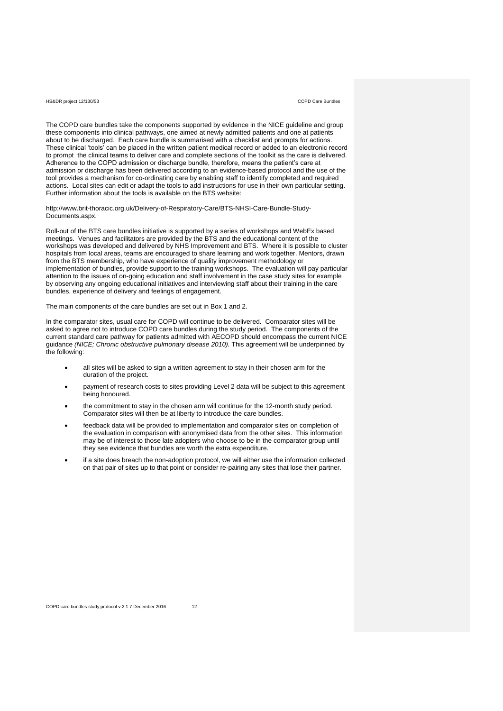The COPD care bundles take the components supported by evidence in the NICE guideline and group these components into clinical pathways, one aimed at newly admitted patients and one at patients about to be discharged. Each care bundle is summarised with a checklist and prompts for actions. These clinical 'tools' can be placed in the written patient medical record or added to an electronic record to prompt the clinical teams to deliver care and complete sections of the toolkit as the care is delivered. Adherence to the COPD admission or discharge bundle, therefore, means the patient's care at admission or discharge has been delivered according to an evidence-based protocol and the use of the tool provides a mechanism for co-ordinating care by enabling staff to identify completed and required actions. Local sites can edit or adapt the tools to add instructions for use in their own particular setting. Further information about the tools is available on the BTS website:

[http://www.brit-thoracic.org.uk/Delivery-of-Respiratory-Care/BTS-NHSI-Care-Bundle-Study-](http://www.brit-thoracic.org.uk/Delivery-of-Respiratory-Care/BTS-NHSI-Care-Bundle-Project-Documents.aspx)[Documents.aspx.](http://www.brit-thoracic.org.uk/Delivery-of-Respiratory-Care/BTS-NHSI-Care-Bundle-Project-Documents.aspx)

Roll-out of the BTS care bundles initiative is supported by a series of workshops and WebEx based meetings. Venues and facilitators are provided by the BTS and the educational content of the workshops was developed and delivered by NHS Improvement and BTS. Where it is possible to cluster hospitals from local areas, teams are encouraged to share learning and work together. Mentors, drawn from the BTS membership, who have experience of quality improvement methodology or implementation of bundles, provide support to the training workshops. The evaluation will pay particular attention to the issues of on-going education and staff involvement in the case study sites for example by observing any ongoing educational initiatives and interviewing staff about their training in the care bundles, experience of delivery and feelings of engagement.

The main components of the care bundles are set out in Box 1 and 2.

In the comparator sites, usual care for COPD will continue to be delivered. Comparator sites will be asked to agree not to introduce COPD care bundles during the study period. The components of the current standard care pathway for patients admitted with AECOPD should encompass the current NICE guidance *(NICE; Chronic obstructive pulmonary disease 2010).* This agreement will be underpinned by the following:

- all sites will be asked to sign a written agreement to stay in their chosen arm for the duration of the project.
- payment of research costs to sites providing Level 2 data will be subject to this agreement being honoured.
- the commitment to stay in the chosen arm will continue for the 12-month study period. Comparator sites will then be at liberty to introduce the care bundles.
- feedback data will be provided to implementation and comparator sites on completion of the evaluation in comparison with anonymised data from the other sites. This information may be of interest to those late adopters who choose to be in the comparator group until they see evidence that bundles are worth the extra expenditure.
- if a site does breach the non-adoption protocol, we will either use the information collected on that pair of sites up to that point or consider re-pairing any sites that lose their partner.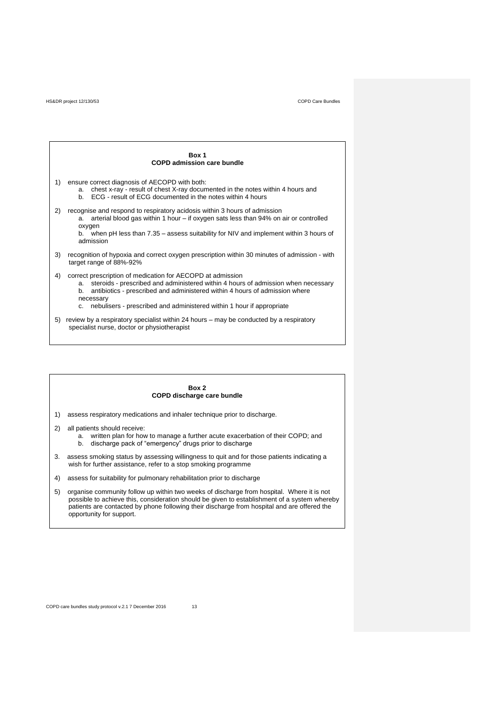# **Box 1 COPD admission care bundle** 1) ensure correct diagnosis of AECOPD with both: a. chest x-ray - result of chest X-ray documented in the notes within 4 hours and b. ECG - result of ECG documented in the notes within 4 hours 2) recognise and respond to respiratory acidosis within 3 hours of admission a. arterial blood gas within 1 hour – if oxygen sats less than 94% on air or controlled oxygen b. when pH less than 7.35 – assess suitability for NIV and implement within 3 hours of admission 3) recognition of hypoxia and correct oxygen prescription within 30 minutes of admission - with target range of 88%-92% 4) correct prescription of medication for AECOPD at admission a. steroids - prescribed and administered within 4 hours of admission when necessary b. antibiotics - prescribed and administered within 4 hours of admission where necessary c. nebulisers - prescribed and administered within 1 hour if appropriate 5) review by a respiratory specialist within 24 hours – may be conducted by a respiratory specialist nurse, doctor or physiotherapist

# **Box 2 COPD discharge care bundle**

- 1) assess respiratory medications and inhaler technique prior to discharge.
- 2) all patients should receive: a. written plan for how to manage a further acute exacerbation of their COPD; and b. discharge pack of "emergency" drugs prior to discharge
- 3. assess smoking status by assessing willingness to quit and for those patients indicating a wish for further assistance, refer to a stop smoking programme
- 4) assess for suitability for pulmonary rehabilitation prior to discharge
- 5) organise community follow up within two weeks of discharge from hospital. Where it is not possible to achieve this, consideration should be given to establishment of a system whereby patients are contacted by phone following their discharge from hospital and are offered the opportunity for support.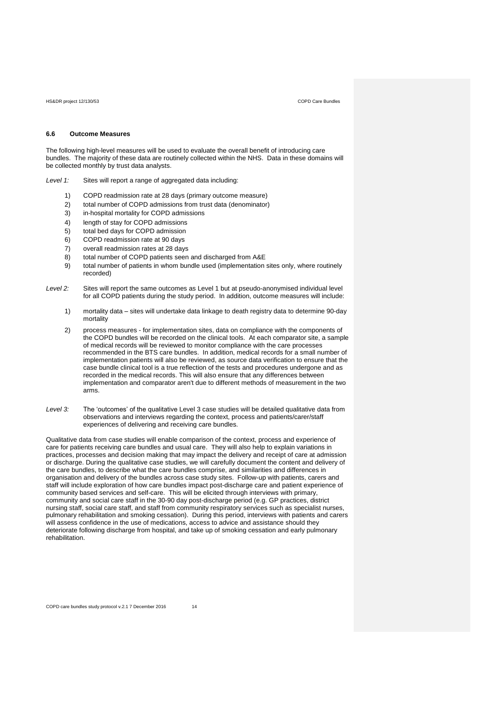## **6.6 Outcome Measures**

The following high-level measures will be used to evaluate the overall benefit of introducing care bundles. The majority of these data are routinely collected within the NHS. Data in these domains will be collected monthly by trust data analysts.

- *Level 1:* Sites will report a range of aggregated data including:
	- 1) COPD readmission rate at 28 days (primary outcome measure)
	- 2) total number of COPD admissions from trust data (denominator)
	- 3) in‐hospital mortality for COPD admissions
	- 4) length of stay for COPD admissions
	- 5) total bed days for COPD admission
	- 6) COPD readmission rate at 90 days
	- 7) overall readmission rates at 28 days
	- 8) total number of COPD patients seen and discharged from A&E
	- 9) total number of patients in whom bundle used (implementation sites only, where routinely recorded)
- Level 2: Sites will report the same outcomes as Level 1 but at pseudo-anonymised individual level for all COPD patients during the study period. In addition, outcome measures will include:
	- 1) mortality data sites will undertake data linkage to death registry data to determine 90-day mortality
	- 2) process measures for implementation sites, data on compliance with the components of the COPD bundles will be recorded on the clinical tools. At each comparator site, a sample of medical records will be reviewed to monitor compliance with the care processes recommended in the BTS care bundles. In addition, medical records for a small number of implementation patients will also be reviewed, as source data verification to ensure that the case bundle clinical tool is a true reflection of the tests and procedures undergone and as recorded in the medical records. This will also ensure that any differences between implementation and comparator aren't due to different methods of measurement in the two arms.
- *Level 3:* The 'outcomes' of the qualitative Level 3 case studies will be detailed qualitative data from observations and interviews regarding the context, process and patients/carer/staff experiences of delivering and receiving care bundles.

Qualitative data from case studies will enable comparison of the context, process and experience of care for patients receiving care bundles and usual care. They will also help to explain variations in practices, processes and decision making that may impact the delivery and receipt of care at admission or discharge. During the qualitative case studies, we will carefully document the content and delivery of the care bundles, to describe what the care bundles comprise, and similarities and differences in organisation and delivery of the bundles across case study sites. Follow-up with patients, carers and staff will include exploration of how care bundles impact post-discharge care and patient experience of community based services and self-care. This will be elicited through interviews with primary, community and social care staff in the 30-90 day post-discharge period (e.g. GP practices, district nursing staff, social care staff, and staff from community respiratory services such as specialist nurses, pulmonary rehabilitation and smoking cessation). During this period, interviews with patients and carers will assess confidence in the use of medications, access to advice and assistance should they deteriorate following discharge from hospital, and take up of smoking cessation and early pulmonary rehabilitation.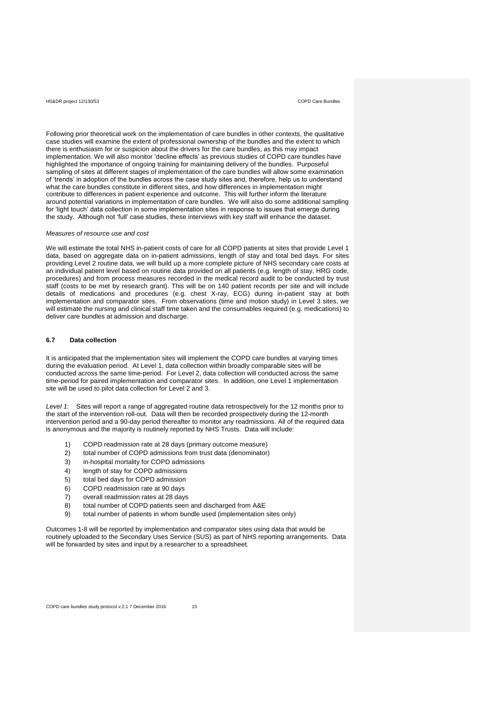Following prior theoretical work on the implementation of care bundles in other contexts, the qualitative case studies will examine the extent of professional ownership of the bundles and the extent to which there is enthusiasm for or suspicion about the drivers for the care bundles, as this may impact implementation. We will also monitor 'decline effects' as previous studies of COPD care bundles have highlighted the importance of ongoing training for maintaining delivery of the bundles. Purposeful sampling of sites at different stages of implementation of the care bundles will allow some examination of 'trends' in adoption of the bundles across the case study sites and, therefore, help us to understand what the care bundles constitute in different sites, and how differences in implementation might contribute to differences in patient experience and outcome. This will further inform the literature around potential variations in implementation of care bundles. We will also do some additional sampling for 'light touch' data collection in some implementation sites in response to issues that emerge during the study. Although not 'full' case studies, these interviews with key staff will enhance the dataset.

#### *Measures of resource use and cost*

We will estimate the total NHS in-patient costs of care for all COPD patients at sites that provide Level 1 data, based on aggregate data on in-patient admissions, length of stay and total bed days. For sites providing Level 2 routine data, we will build up a more complete picture of NHS secondary care costs at an individual patient level based on routine data provided on all patients (e.g. length of stay, HRG code, procedures) and from process measures recorded in the medical record audit to be conducted by trust staff (costs to be met by research grant). This will be on 140 patient records per site and will include details of medications and procedures (e.g. chest X-ray, ECG) during in-patient stay at both implementation and comparator sites. From observations (time and motion study) in Level 3 sites, we will estimate the nursing and clinical staff time taken and the consumables required (e.g. medications) to deliver care bundles at admission and discharge.

### **6.7 Data collection**

It is anticipated that the implementation sites will implement the COPD care bundles at varying times during the evaluation period. At Level 1, data collection within broadly comparable sites will be conducted across the same time-period. For Level 2, data collection will conducted across the same time-period for paired implementation and comparator sites. In addition, one Level 1 implementation site will be used to pilot data collection for Level 2 and 3.

*Level 1:* Sites will report a range of aggregated routine data retrospectively for the 12 months prior to the start of the intervention roll-out. Data will then be recorded prospectively during the 12-month intervention period and a 90-day period thereafter to monitor any readmissions. All of the required data is anonymous and the majority is routinely reported by NHS Trusts. Data will include:

- 1) COPD readmission rate at 28 days (primary outcome measure)
- 2) total number of COPD admissions from trust data (denominator)
- 3) in‐hospital mortality for COPD admissions
- 4) length of stay for COPD admissions
- 5) total bed days for COPD admission
- 6) COPD readmission rate at 90 days
- 7) overall readmission rates at 28 days
- 8) total number of COPD patients seen and discharged from A&E
- 9) total number of patients in whom bundle used (implementation sites only)

Outcomes 1-8 will be reported by implementation and comparator sites using data that would be routinely uploaded to the Secondary Uses Service (SUS) as part of NHS reporting arrangements. Data will be forwarded by sites and input by a researcher to a spreadsheet.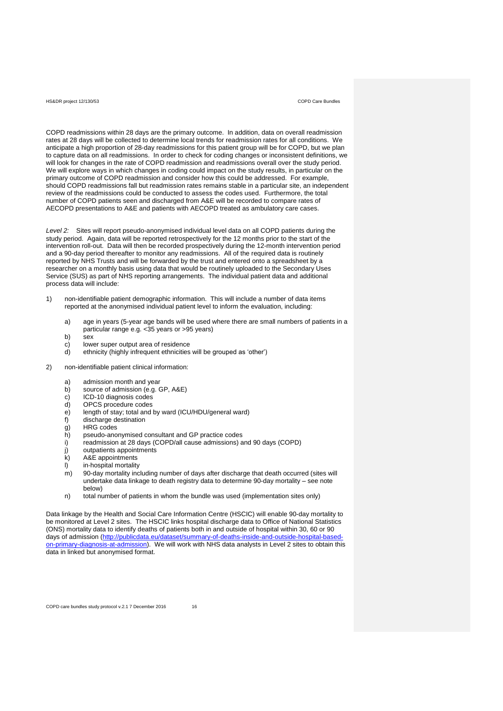COPD readmissions within 28 days are the primary outcome. In addition, data on overall readmission rates at 28 days will be collected to determine local trends for readmission rates for all conditions. We anticipate a high proportion of 28-day readmissions for this patient group will be for COPD, but we plan to capture data on all readmissions. In order to check for coding changes or inconsistent definitions, we will look for changes in the rate of COPD readmission and readmissions overall over the study period. We will explore ways in which changes in coding could impact on the study results, in particular on the primary outcome of COPD readmission and consider how this could be addressed. For example, should COPD readmissions fall but readmission rates remains stable in a particular site, an independent review of the readmissions could be conducted to assess the codes used. Furthermore, the total number of COPD patients seen and discharged from A&E will be recorded to compare rates of AECOPD presentations to A&E and patients with AECOPD treated as ambulatory care cases.

*Level 2:* Sites will report pseudo-anonymised individual level data on all COPD patients during the study period. Again, data will be reported retrospectively for the 12 months prior to the start of the intervention roll-out. Data will then be recorded prospectively during the 12-month intervention period and a 90-day period thereafter to monitor any readmissions. All of the required data is routinely reported by NHS Trusts and will be forwarded by the trust and entered onto a spreadsheet by a researcher on a monthly basis using data that would be routinely uploaded to the Secondary Uses Service (SUS) as part of NHS reporting arrangements. The individual patient data and additional process data will include:

- 1) non-identifiable patient demographic information. This will include a number of data items reported at the anonymised individual patient level to inform the evaluation, including:
	- a) age in years (5-year age bands will be used where there are small numbers of patients in a particular range e.g. <35 years or >95 years)
	- b) sex
	- c) lower super output area of residence<br>d) ethnicity (bigbly infrequent ethnicities
	- ethnicity (highly infrequent ethnicities will be grouped as 'other')
- 2) non-identifiable patient clinical information:
	- a) admission month and year
	- b) source of admission (e.g. GP, A&E)
	- c) ICD-10 diagnosis codes<br>d) OPCS procedure codes
	- d) OPCS procedure codes
	- e) length of stay; total and by ward (ICU/HDU/general ward)<br>f) discharge destination
	- discharge destination
	- g) HRG codes
	- h) pseudo-anonymised consultant and GP practice codes
	- i) readmission at 28 days (COPD/all cause admissions) and 90 days (COPD)
	- j) outpatients appointments
	- $k$ ) A&E appointments
	- l) in‐hospital mortality
	- m) 90-day mortality including number of days after discharge that death occurred (sites will undertake data linkage to death registry data to determine 90-day mortality – see note below)
	- n) total number of patients in whom the bundle was used (implementation sites only)

Data linkage by the Health and Social Care Information Centre (HSCIC) will enable 90-day mortality to be monitored at Level 2 sites. The HSCIC links hospital discharge data to Office of National Statistics (ONS) mortality data to identify deaths of patients both in and outside of hospital within 30, 60 or 90 days of admission [\(http://publicdata.eu/dataset/summary-of-deaths-inside-and-outside-hospital-based](http://publicdata.eu/dataset/summary-of-deaths-inside-and-outside-hospital-based-on-primary-diagnosis-at-admission)[on-primary-diagnosis-at-admission\)](http://publicdata.eu/dataset/summary-of-deaths-inside-and-outside-hospital-based-on-primary-diagnosis-at-admission). We will work with NHS data analysts in Level 2 sites to obtain this data in linked but anonymised format.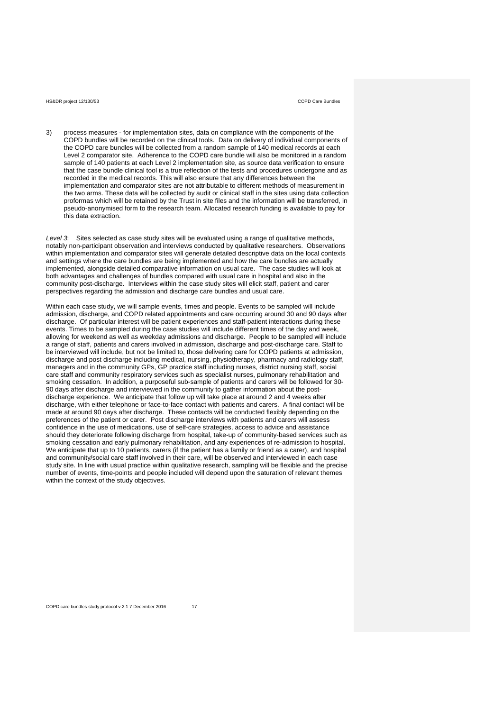3) process measures - for implementation sites, data on compliance with the components of the COPD bundles will be recorded on the clinical tools. Data on delivery of individual components of the COPD care bundles will be collected from a random sample of 140 medical records at each Level 2 comparator site. Adherence to the COPD care bundle will also be monitored in a random sample of 140 patients at each Level 2 implementation site, as source data verification to ensure that the case bundle clinical tool is a true reflection of the tests and procedures undergone and as recorded in the medical records. This will also ensure that any differences between the implementation and comparator sites are not attributable to different methods of measurement in the two arms. These data will be collected by audit or clinical staff in the sites using data collection proformas which will be retained by the Trust in site files and the information will be transferred, in pseudo-anonymised form to the research team. Allocated research funding is available to pay for this data extraction.

*Level 3*: Sites selected as case study sites will be evaluated using a range of qualitative methods, notably non-participant observation and interviews conducted by qualitative researchers. Observations within implementation and comparator sites will generate detailed descriptive data on the local contexts and settings where the care bundles are being implemented and how the care bundles are actually implemented, alongside detailed comparative information on usual care. The case studies will look at both advantages and challenges of bundles compared with usual care in hospital and also in the community post-discharge. Interviews within the case study sites will elicit staff, patient and carer perspectives regarding the admission and discharge care bundles and usual care.

Within each case study, we will sample events, times and people. Events to be sampled will include admission, discharge, and COPD related appointments and care occurring around 30 and 90 days after discharge. Of particular interest will be patient experiences and staff-patient interactions during these events. Times to be sampled during the case studies will include different times of the day and week, allowing for weekend as well as weekday admissions and discharge. People to be sampled will include a range of staff, patients and carers involved in admission, discharge and post-discharge care. Staff to be interviewed will include, but not be limited to, those delivering care for COPD patients at admission, discharge and post discharge including medical, nursing, physiotherapy, pharmacy and radiology staff, managers and in the community GPs, GP practice staff including nurses, district nursing staff, social care staff and community respiratory services such as specialist nurses, pulmonary rehabilitation and smoking cessation. In addition, a purposeful sub-sample of patients and carers will be followed for 30- 90 days after discharge and interviewed in the community to gather information about the postdischarge experience. We anticipate that follow up will take place at around 2 and 4 weeks after discharge, with either telephone or face-to-face contact with patients and carers. A final contact will be made at around 90 days after discharge. These contacts will be conducted flexibly depending on the preferences of the patient or carer. Post discharge interviews with patients and carers will assess confidence in the use of medications, use of self-care strategies, access to advice and assistance should they deteriorate following discharge from hospital, take-up of community-based services such as smoking cessation and early pulmonary rehabilitation, and any experiences of re-admission to hospital. We anticipate that up to 10 patients, carers (if the patient has a family or friend as a carer), and hospital and community/social care staff involved in their care, will be observed and interviewed in each case study site. In line with usual practice within qualitative research, sampling will be flexible and the precise number of events, time-points and people included will depend upon the saturation of relevant themes within the context of the study objectives.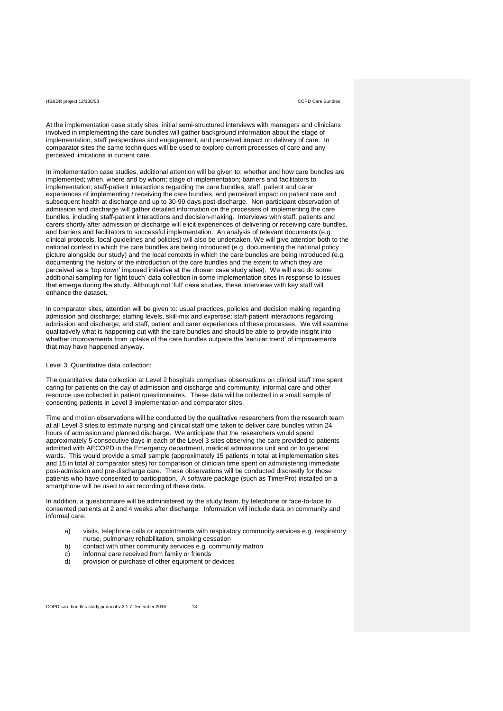At the implementation case study sites, initial semi-structured interviews with managers and clinicians involved in implementing the care bundles will gather background information about the stage of implementation, staff perspectives and engagement, and perceived impact on delivery of care. In comparator sites the same techniques will be used to explore current processes of care and any perceived limitations in current care.

In implementation case studies, additional attention will be given to: whether and how care bundles are implemented; when, where and by whom; stage of implementation; barriers and facilitators to implementation; staff-patient interactions regarding the care bundles, staff, patient and carer experiences of implementing / receiving the care bundles, and perceived impact on patient care and subsequent health at discharge and up to 30-90 days post-discharge. Non-participant observation of admission and discharge will gather detailed information on the processes of implementing the care bundles, including staff-patient interactions and decision-making. Interviews with staff, patients and carers shortly after admission or discharge will elicit experiences of delivering or receiving care bundles, and barriers and facilitators to successful implementation. An analysis of relevant documents (e.g. clinical protocols, local guidelines and policies) will also be undertaken. We will give attention both to the national context in which the care bundles are being introduced (e.g. documenting the national policy picture alongside our study) and the local contexts in which the care bundles are being introduced (e.g. documenting the history of the introduction of the care bundles and the extent to which they are perceived as a 'top down' imposed initiative at the chosen case study sites). We will also do some additional sampling for 'light touch' data collection in some implementation sites in response to issues that emerge during the study. Although not 'full' case studies, these interviews with key staff will enhance the dataset.

In comparator sites, attention will be given to: usual practices, policies and decision making regarding admission and discharge; staffing levels, skill-mix and expertise; staff-patient interactions regarding admission and discharge; and staff, patient and carer experiences of these processes. We will examine qualitatively what is happening out with the care bundles and should be able to provide insight into whether improvements from uptake of the care bundles outpace the 'secular trend' of improvements that may have happened anyway.

# Level 3: Quantitative data collection:

The quantitative data collection at Level 2 hospitals comprises observations on clinical staff time spent caring for patients on the day of admission and discharge and community, informal care and other resource use collected in patient questionnaires. These data will be collected in a small sample of consenting patients in Level 3 implementation and comparator sites.

Time and motion observations will be conducted by the qualitative researchers from the research team at all Level 3 sites to estimate nursing and clinical staff time taken to deliver care bundles within 24 hours of admission and planned discharge. We anticipate that the researchers would spend approximately 5 consecutive days in each of the Level 3 sites observing the care provided to patients admitted with AECOPD in the Emergency department, medical admissions unit and on to general wards. This would provide a small sample (approximately 15 patients in total at implementation sites and 15 in total at comparator sites) for comparison of clinician time spent on administering immediate post-admission and pre-discharge care. These observations will be conducted discreetly for those patients who have consented to participation. A software package (such as TimerPro) installed on a smartphone will be used to aid recording of these data.

In addition, a questionnaire will be administered by the study team, by telephone or face-to-face to consented patients at 2 and 4 weeks after discharge. Information will include data on community and informal care:

- a) visits, telephone calls or appointments with respiratory community services e.g. respiratory nurse, pulmonary rehabilitation, smoking cessation
- b) contact with other community services e.g. community matron
- c) informal care received from family or friends
- d) provision or purchase of other equipment or devices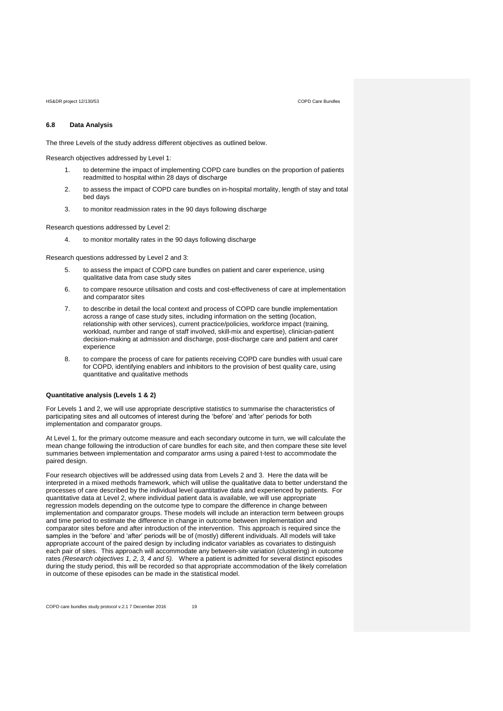# **6.8 Data Analysis**

The three Levels of the study address different objectives as outlined below.

Research objectives addressed by Level 1:

- 1. to determine the impact of implementing COPD care bundles on the proportion of patients readmitted to hospital within 28 days of discharge
- 2. to assess the impact of COPD care bundles on in-hospital mortality, length of stay and total bed days
- 3. to monitor readmission rates in the 90 days following discharge

Research questions addressed by Level 2:

4. to monitor mortality rates in the 90 days following discharge

Research questions addressed by Level 2 and 3:

- 5. to assess the impact of COPD care bundles on patient and carer experience, using qualitative data from case study sites
- 6. to compare resource utilisation and costs and cost-effectiveness of care at implementation and comparator sites
- 7. to describe in detail the local context and process of COPD care bundle implementation across a range of case study sites, including information on the setting (location, relationship with other services), current practice/policies, workforce impact (training, workload, number and range of staff involved, skill-mix and expertise), clinician-patient decision-making at admission and discharge, post-discharge care and patient and carer experience
- 8. to compare the process of care for patients receiving COPD care bundles with usual care for COPD, identifying enablers and inhibitors to the provision of best quality care, using quantitative and qualitative methods

# **Quantitative analysis (Levels 1 & 2)**

For Levels 1 and 2, we will use appropriate descriptive statistics to summarise the characteristics of participating sites and all outcomes of interest during the 'before' and 'after' periods for both implementation and comparator groups.

At Level 1, for the primary outcome measure and each secondary outcome in turn, we will calculate the mean change following the introduction of care bundles for each site, and then compare these site level summaries between implementation and comparator arms using a paired t-test to accommodate the paired design.

Four research objectives will be addressed using data from Levels 2 and 3. Here the data will be interpreted in a mixed methods framework, which will utilise the qualitative data to better understand the processes of care described by the individual level quantitative data and experienced by patients. For quantitative data at Level 2, where individual patient data is available, we will use appropriate regression models depending on the outcome type to compare the difference in change between implementation and comparator groups. These models will include an interaction term between groups and time period to estimate the difference in change in outcome between implementation and comparator sites before and after introduction of the intervention. This approach is required since the samples in the 'before' and 'after' periods will be of (mostly) different individuals. All models will take appropriate account of the paired design by including indicator variables as covariates to distinguish each pair of sites. This approach will accommodate any between-site variation (clustering) in outcome rates *(Research objectives 1, 2, 3, 4 and 5).* Where a patient is admitted for several distinct episodes during the study period, this will be recorded so that appropriate accommodation of the likely correlation in outcome of these episodes can be made in the statistical model.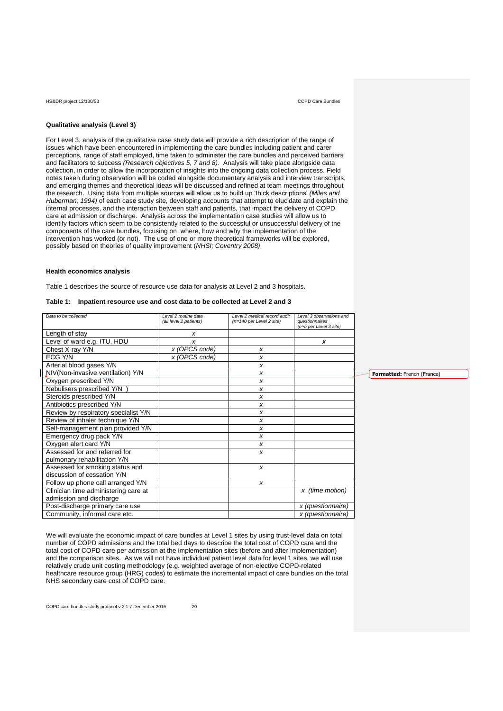# **Qualitative analysis (Level 3)**

For Level 3, analysis of the qualitative case study data will provide a rich description of the range of issues which have been encountered in implementing the care bundles including patient and carer perceptions, range of staff employed, time taken to administer the care bundles and perceived barriers and facilitators to success *(Research objectives 5, 7 and 8)*. Analysis will take place alongside data collection, in order to allow the incorporation of insights into the ongoing data collection process. Field notes taken during observation will be coded alongside documentary analysis and interview transcripts, and emerging themes and theoretical ideas will be discussed and refined at team meetings throughout the research. Using data from multiple sources will allow us to build up 'thick descriptions' *(Miles and Huberman; 1994)* of each case study site, developing accounts that attempt to elucidate and explain the internal processes, and the interaction between staff and patients, that impact the delivery of COPD care at admission or discharge. Analysis across the implementation case studies will allow us to identify factors which seem to be consistently related to the successful or unsuccessful delivery of the components of the care bundles, focusing on where, how and why the implementation of the intervention has worked (or not). The use of one or more theoretical frameworks will be explored, possibly based on theories of quality improvement (*NHSI; Coventry 2008)*

# **Health economics analysis**

Table 1 describes the source of resource use data for analysis at Level 2 and 3 hospitals.

| Data to be collected                 | Level 2 routine data<br>(all level 2 patients) | Level 2 medical record audit<br>(n=140 per Level 2 site) | Level 3 observations and<br>questionnaires |
|--------------------------------------|------------------------------------------------|----------------------------------------------------------|--------------------------------------------|
| Length of stay                       | x                                              |                                                          | (n≈5 per Level 3 site)                     |
| Level of ward e.g. ITU, HDU          | x                                              |                                                          | x                                          |
| Chest X-ray Y/N                      | x (OPCS code)                                  | x                                                        |                                            |
| ECG Y/N                              | x (OPCS code)                                  | x                                                        |                                            |
| Arterial blood gases Y/N             |                                                | x                                                        |                                            |
| NIV(Non-invasive ventilation) Y/N    |                                                | x                                                        |                                            |
|                                      |                                                |                                                          |                                            |
| Oxygen prescribed Y/N                |                                                | x                                                        |                                            |
| Nebulisers prescribed Y/N            |                                                | x                                                        |                                            |
| Steroids prescribed Y/N              |                                                | x                                                        |                                            |
| Antibiotics prescribed Y/N           |                                                | x                                                        |                                            |
| Review by respiratory specialist Y/N |                                                | x                                                        |                                            |
| Review of inhaler technique Y/N      |                                                | x                                                        |                                            |
| Self-management plan provided Y/N    |                                                | x                                                        |                                            |
| Emergency drug pack Y/N              |                                                | x                                                        |                                            |
| Oxygen alert card Y/N                |                                                | x                                                        |                                            |
| Assessed for and referred for        |                                                | x                                                        |                                            |
| pulmonary rehabilitation Y/N         |                                                |                                                          |                                            |
| Assessed for smoking status and      |                                                | $\boldsymbol{x}$                                         |                                            |
| discussion of cessation Y/N          |                                                |                                                          |                                            |
| Follow up phone call arranged Y/N    |                                                | x                                                        |                                            |
| Clinician time administering care at |                                                |                                                          | x (time motion)                            |
| admission and discharge              |                                                |                                                          |                                            |
| Post-discharge primary care use      |                                                |                                                          | x (questionnaire)                          |
| Community, informal care etc.        |                                                |                                                          | x (questionnaire)                          |

**Table 1: Inpatient resource use and cost data to be collected at Level 2 and 3**

We will evaluate the economic impact of care bundles at Level 1 sites by using trust-level data on total number of COPD admissions and the total bed days to describe the total cost of COPD care and the total cost of COPD care per admission at the implementation sites (before and after implementation) and the comparison sites. As we will not have individual patient level data for level 1 sites, we will use relatively crude unit costing methodology (e.g. weighted average of non-elective COPD-related healthcare resource group (HRG) codes) to estimate the incremental impact of care bundles on the total NHS secondary care cost of COPD care.

**Formatted:** French (France)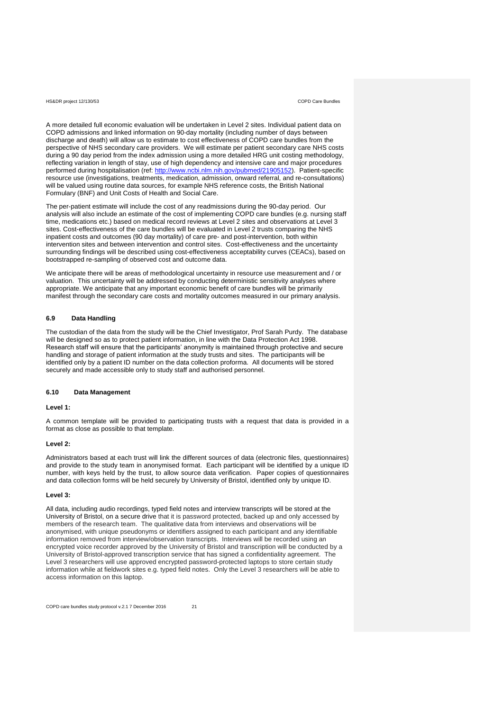A more detailed full economic evaluation will be undertaken in Level 2 sites. Individual patient data on COPD admissions and linked information on 90-day mortality (including number of days between discharge and death) will allow us to estimate to cost effectiveness of COPD care bundles from the perspective of NHS secondary care providers. We will estimate per patient secondary care NHS costs during a 90 day period from the index admission using a more detailed HRG unit costing methodology, reflecting variation in length of stay, use of high dependency and intensive care and major procedures performed during hospitalisation (ref: [http://www.ncbi.nlm.nih.gov/pubmed/21905152\)](http://www.ncbi.nlm.nih.gov/pubmed/21905152). Patient-specific resource use (investigations, treatments, medication, admission, onward referral, and re-consultations) will be valued using routine data sources, for example NHS reference costs, the British National Formulary (BNF) and Unit Costs of Health and Social Care.

The per-patient estimate will include the cost of any readmissions during the 90-day period. Our analysis will also include an estimate of the cost of implementing COPD care bundles (e.g. nursing staff time, medications etc.) based on medical record reviews at Level 2 sites and observations at Level 3 sites. Cost-effectiveness of the care bundles will be evaluated in Level 2 trusts comparing the NHS inpatient costs and outcomes (90 day mortality) of care pre- and post-intervention, both within intervention sites and between intervention and control sites. Cost-effectiveness and the uncertainty surrounding findings will be described using cost-effectiveness acceptability curves (CEACs), based on bootstrapped re-sampling of observed cost and outcome data.

We anticipate there will be areas of methodological uncertainty in resource use measurement and / or valuation. This uncertainty will be addressed by conducting deterministic sensitivity analyses where appropriate. We anticipate that any important economic benefit of care bundles will be primarily manifest through the secondary care costs and mortality outcomes measured in our primary analysis.

# **6.9 Data Handling**

The custodian of the data from the study will be the Chief Investigator, Prof Sarah Purdy. The database will be designed so as to protect patient information, in line with the Data Protection Act 1998. Research staff will ensure that the participants' anonymity is maintained through protective and secure handling and storage of patient information at the study trusts and sites. The participants will be identified only by a patient ID number on the data collection proforma. All documents will be stored securely and made accessible only to study staff and authorised personnel.

# **6.10 Data Management**

# **Level 1:**

A common template will be provided to participating trusts with a request that data is provided in a format as close as possible to that template.

### **Level 2:**

Administrators based at each trust will link the different sources of data (electronic files, questionnaires) and provide to the study team in anonymised format. Each participant will be identified by a unique ID number, with keys held by the trust, to allow source data verification. Paper copies of questionnaires and data collection forms will be held securely by University of Bristol, identified only by unique ID.

# **Level 3:**

All data, including audio recordings, typed field notes and interview transcripts will be stored at the University of Bristol, on a secure drive that it is password protected, backed up and only accessed by members of the research team. The qualitative data from interviews and observations will be anonymised, with unique pseudonyms or identifiers assigned to each participant and any identifiable information removed from interview/observation transcripts. Interviews will be recorded using an encrypted voice recorder approved by the University of Bristol and transcription will be conducted by a University of Bristol-approved transcription service that has signed a confidentiality agreement. The Level 3 researchers will use approved encrypted password-protected laptops to store certain study information while at fieldwork sites e.g. typed field notes. Only the Level 3 researchers will be able to access information on this laptop.

COPD care bundles study protocol v.2.1 7 December 2016 21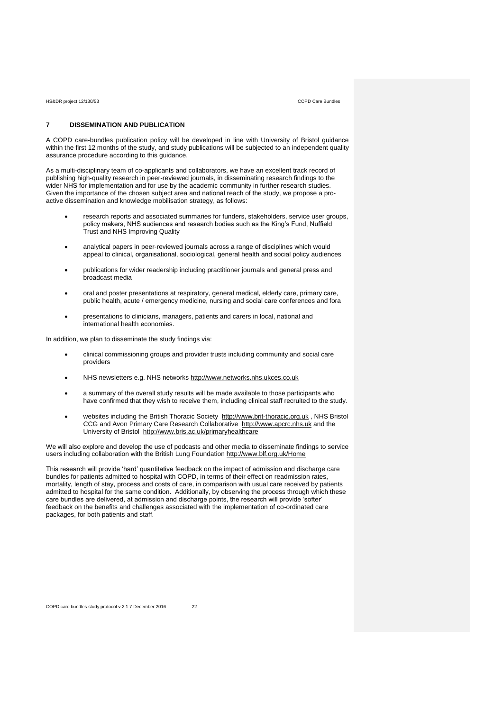# **7 DISSEMINATION AND PUBLICATION**

A COPD care-bundles publication policy will be developed in line with University of Bristol guidance within the first 12 months of the study, and study publications will be subjected to an independent quality assurance procedure according to this guidance.

As a multi-disciplinary team of co-applicants and collaborators, we have an excellent track record of publishing high-quality research in peer-reviewed journals, in disseminating research findings to the wider NHS for implementation and for use by the academic community in further research studies. Given the importance of the chosen subject area and national reach of the study, we propose a proactive dissemination and knowledge mobilisation strategy, as follows:

- research reports and associated summaries for funders, stakeholders, service user groups, policy makers, NHS audiences and research bodies such as the King's Fund, Nuffield Trust and NHS Improving Quality
- analytical papers in peer-reviewed journals across a range of disciplines which would appeal to clinical, organisational, sociological, general health and social policy audiences
- publications for wider readership including practitioner journals and general press and broadcast media
- oral and poster presentations at respiratory, general medical, elderly care, primary care, public health, acute / emergency medicine, nursing and social care conferences and fora
- presentations to clinicians, managers, patients and carers in local, national and international health economies.

In addition, we plan to disseminate the study findings via:

- clinical commissioning groups and provider trusts including community and social care providers
- NHS newsletters e.g. NHS networks [http://www.networks.nhs.ukces.co.uk](http://www.networks.nhs.ukces.co.uk/)
- a summary of the overall study results will be made available to those participants who have confirmed that they wish to receive them, including clinical staff recruited to the study.
- websites including the British Thoracic Society [http://www.brit-thoracic.org.uk](http://www.brit-thoracic.org.uk/), NHS Bristol CCG and Avon Primary Care Research Collaborative [http://www.apcrc.nhs.uk](http://www.apcrc.nhs.uk/) and the University of Bristol <http://www.bris.ac.uk/primaryhealthcare>

We will also explore and develop the use of podcasts and other media to disseminate findings to service users including collaboration with the British Lung Foundation<http://www.blf.org.uk/Home>

This research will provide 'hard' quantitative feedback on the impact of admission and discharge care bundles for patients admitted to hospital with COPD, in terms of their effect on readmission rates, mortality, length of stay, process and costs of care, in comparison with usual care received by patients admitted to hospital for the same condition. Additionally, by observing the process through which these care bundles are delivered, at admission and discharge points, the research will provide 'softer' feedback on the benefits and challenges associated with the implementation of co-ordinated care packages, for both patients and staff.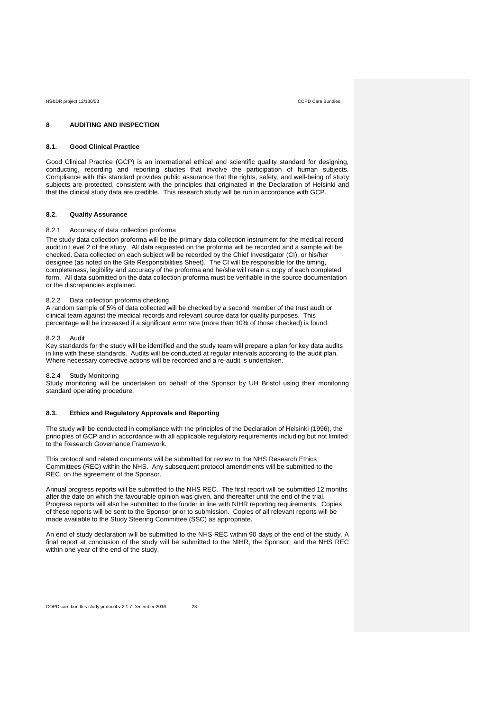# **8 AUDITING AND INSPECTION**

## **8.1. Good Clinical Practice**

Good Clinical Practice (GCP) is an international ethical and scientific quality standard for designing, conducting, recording and reporting studies that involve the participation of human subjects. Compliance with this standard provides public assurance that the rights, safety, and well-being of study subjects are protected, consistent with the principles that originated in the Declaration of Helsinki and that the clinical study data are credible. This research study will be run in accordance with GCP.

### **8.2. Quality Assurance**

## 8.2.1 Accuracy of data collection proforma

The study data collection proforma will be the primary data collection instrument for the medical record audit in Level 2 of the study. All data requested on the proforma will be recorded and a sample will be checked. Data collected on each subject will be recorded by the Chief Investigator (CI), or his/her designee (as noted on the Site Responsibilities Sheet). The CI will be responsible for the timing, completeness, legibility and accuracy of the proforma and he/she will retain a copy of each completed form. All data submitted on the data collection proforma must be verifiable in the source documentation or the discrepancies explained.

# 8.2.2 Data collection proforma checking

A random sample of 5% of data collected will be checked by a second member of the trust audit or clinical team against the medical records and relevant source data for quality purposes. This percentage will be increased if a significant error rate (more than 10% of those checked) is found.

## 8.2.3 Audit

Key standards for the study will be identified and the study team will prepare a plan for key data audits in line with these standards. Audits will be conducted at regular intervals according to the audit plan. Where necessary corrective actions will be recorded and a re-audit is undertaken.

# 8.2.4 Study Monitoring

Study monitoring will be undertaken on behalf of the Sponsor by UH Bristol using their monitoring standard operating procedure.

# **8.3. Ethics and Regulatory Approvals and Reporting**

The study will be conducted in compliance with the principles of the Declaration of Helsinki (1996), the principles of GCP and in accordance with all applicable regulatory requirements including but not limited to the Research Governance Framework.

This protocol and related documents will be submitted for review to the NHS Research Ethics Committees (REC) within the NHS. Any subsequent protocol amendments will be submitted to the REC, on the agreement of the Sponsor.

Annual progress reports will be submitted to the NHS REC. The first report will be submitted 12 months after the date on which the favourable opinion was given, and thereafter until the end of the trial. Progress reports will also be submitted to the funder in line with NIHR reporting requirements. Copies of these reports will be sent to the Sponsor prior to submission. Copies of all relevant reports will be made available to the Study Steering Committee (SSC) as appropriate.

An end of study declaration will be submitted to the NHS REC within 90 days of the end of the study. A final report at conclusion of the study will be submitted to the NIHR, the Sponsor, and the NHS REC within one year of the end of the study.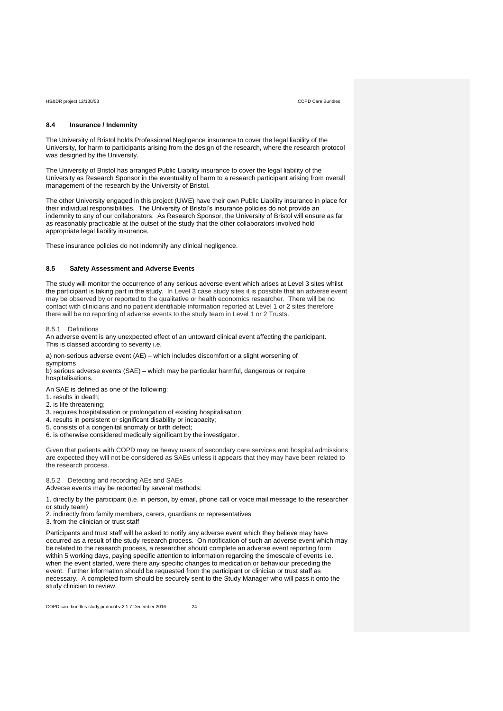# **8.4 Insurance / Indemnity**

The University of Bristol holds Professional Negligence insurance to cover the legal liability of the University, for harm to participants arising from the design of the research, where the research protocol was designed by the University.

The University of Bristol has arranged Public Liability insurance to cover the legal liability of the University as Research Sponsor in the eventuality of harm to a research participant arising from overall management of the research by the University of Bristol.

The other University engaged in this project (UWE) have their own Public Liability insurance in place for their individual responsibilities. The University of Bristol's insurance policies do not provide an indemnity to any of our collaborators. As Research Sponsor, the University of Bristol will ensure as far as reasonably practicable at the outset of the study that the other collaborators involved hold appropriate legal liability insurance.

These insurance policies do not indemnify any clinical negligence.

# **8.5 Safety Assessment and Adverse Events**

The study will monitor the occurrence of any serious adverse event which arises at Level 3 sites whilst the participant is taking part in the study. In Level 3 case study sites it is possible that an adverse event may be observed by or reported to the qualitative or health economics researcher. There will be no contact with clinicians and no patient identifiable information reported at Level 1 or 2 sites therefore there will be no reporting of adverse events to the study team in Level 1 or 2 Trusts.

8.5.1 Definitions

An adverse event is any unexpected effect of an untoward clinical event affecting the participant. This is classed according to severity i.e.

a) non-serious adverse event (AE) – which includes discomfort or a slight worsening of symptoms

b) serious adverse events (SAE) – which may be particular harmful, dangerous or require hospitalisations.

An SAE is defined as one of the following:

- 1. results in death;
- 2. is life threatening;
- 3. requires hospitalisation or prolongation of existing hospitalisation;
- 4. results in persistent or significant disability or incapacity;
- 5. consists of a congenital anomaly or birth defect;
- 6. is otherwise considered medically significant by the investigator.

Given that patients with COPD may be heavy users of secondary care services and hospital admissions are expected they will not be considered as SAEs unless it appears that they may have been related to the research process.

8.5.2 Detecting and recording AEs and SAEs

Adverse events may be reported by several methods:

1. directly by the participant (i.e. in person, by email, phone call or voice mail message to the researcher or study team)

2. indirectly from family members, carers, guardians or representatives

3. from the clinician or trust staff

Participants and trust staff will be asked to notify any adverse event which they believe may have occurred as a result of the study research process. On notification of such an adverse event which may be related to the research process, a researcher should complete an adverse event reporting form within 5 working days, paying specific attention to information regarding the timescale of events i.e. when the event started, were there any specific changes to medication or behaviour preceding the event. Further information should be requested from the participant or clinician or trust staff as necessary. A completed form should be securely sent to the Study Manager who will pass it onto the study clinician to review.

COPD care bundles study protocol v.2.1 7 December 2016 24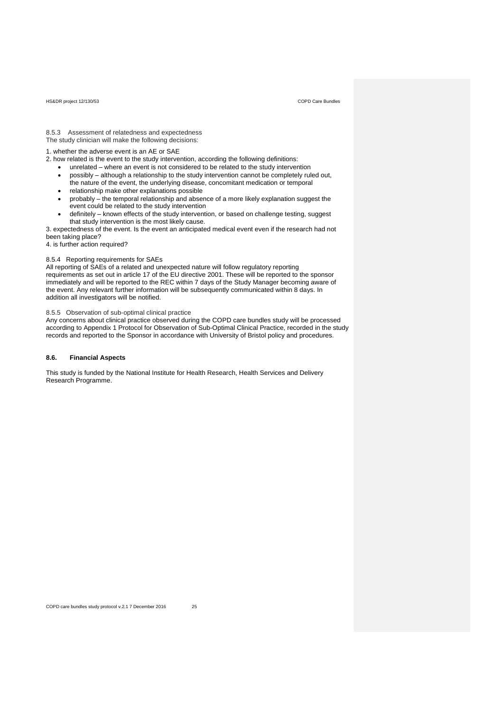8.5.3 Assessment of relatedness and expectedness The study clinician will make the following decisions:

1. whether the adverse event is an AE or SAE

- 2. how related is the event to the study intervention, according the following definitions:
	- unrelated where an event is not considered to be related to the study intervention
	- possibly although a relationship to the study intervention cannot be completely ruled out, the nature of the event, the underlying disease, concomitant medication or temporal
	- relationship make other explanations possible
	- probably the temporal relationship and absence of a more likely explanation suggest the event could be related to the study intervention
	- definitely known effects of the study intervention, or based on challenge testing, suggest that study intervention is the most likely cause.

3. expectedness of the event. Is the event an anticipated medical event even if the research had not been taking place?

4. is further action required?

# 8.5.4 Reporting requirements for SAEs

All reporting of SAEs of a related and unexpected nature will follow regulatory reporting requirements as set out in article 17 of the EU directive 2001. These will be reported to the sponsor immediately and will be reported to the REC within 7 days of the Study Manager becoming aware of the event. Any relevant further information will be subsequently communicated within 8 days. In addition all investigators will be notified.

8.5.5 Observation of sub-optimal clinical practice

Any concerns about clinical practice observed during the COPD care bundles study will be processed according to Appendix 1 Protocol for Observation of Sub-Optimal Clinical Practice, recorded in the study records and reported to the Sponsor in accordance with University of Bristol policy and procedures.

# **8.6. Financial Aspects**

This study is funded by the National Institute for Health Research, Health Services and Delivery Research Programme.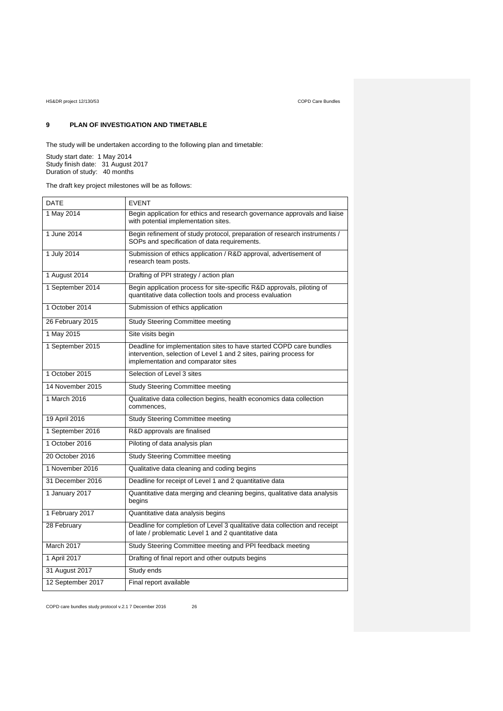# **9 PLAN OF INVESTIGATION AND TIMETABLE**

The study will be undertaken according to the following plan and timetable:

Study start date: 1 May 2014 Study finish date: 31 August 2017 Duration of study: 40 months

The draft key project milestones will be as follows:

| DATE              | <b>EVENT</b>                                                                                                                                                                      |  |
|-------------------|-----------------------------------------------------------------------------------------------------------------------------------------------------------------------------------|--|
| 1 May 2014        | Begin application for ethics and research governance approvals and liaise<br>with potential implementation sites.                                                                 |  |
| 1 June 2014       | Begin refinement of study protocol, preparation of research instruments /<br>SOPs and specification of data requirements.                                                         |  |
| 1 July 2014       | Submission of ethics application / R&D approval, advertisement of<br>research team posts.                                                                                         |  |
| 1 August 2014     | Drafting of PPI strategy / action plan                                                                                                                                            |  |
| 1 September 2014  | Begin application process for site-specific R&D approvals, piloting of<br>quantitative data collection tools and process evaluation                                               |  |
| 1 October 2014    | Submission of ethics application                                                                                                                                                  |  |
| 26 February 2015  | <b>Study Steering Committee meeting</b>                                                                                                                                           |  |
| 1 May 2015        | Site visits begin                                                                                                                                                                 |  |
| 1 September 2015  | Deadline for implementation sites to have started COPD care bundles<br>intervention, selection of Level 1 and 2 sites, pairing process for<br>implementation and comparator sites |  |
| 1 October 2015    | Selection of Level 3 sites                                                                                                                                                        |  |
| 14 November 2015  | <b>Study Steering Committee meeting</b>                                                                                                                                           |  |
| 1 March 2016      | Qualitative data collection begins, health economics data collection<br>commences.                                                                                                |  |
| 19 April 2016     | <b>Study Steering Committee meeting</b>                                                                                                                                           |  |
| 1 September 2016  | R&D approvals are finalised                                                                                                                                                       |  |
| 1 October 2016    | Piloting of data analysis plan                                                                                                                                                    |  |
| 20 October 2016   | <b>Study Steering Committee meeting</b>                                                                                                                                           |  |
| 1 November 2016   | Qualitative data cleaning and coding begins                                                                                                                                       |  |
| 31 December 2016  | Deadline for receipt of Level 1 and 2 quantitative data                                                                                                                           |  |
| 1 January 2017    | Quantitative data merging and cleaning begins, qualitative data analysis<br>begins                                                                                                |  |
| 1 February 2017   | Quantitative data analysis begins                                                                                                                                                 |  |
| 28 February       | Deadline for completion of Level 3 qualitative data collection and receipt<br>of late / problematic Level 1 and 2 quantitative data                                               |  |
| March 2017        | Study Steering Committee meeting and PPI feedback meeting                                                                                                                         |  |
| 1 April 2017      | Drafting of final report and other outputs begins                                                                                                                                 |  |
| 31 August 2017    | Study ends                                                                                                                                                                        |  |
| 12 September 2017 | Final report available                                                                                                                                                            |  |

COPD care bundles study protocol v.2.1 7 December 2016 26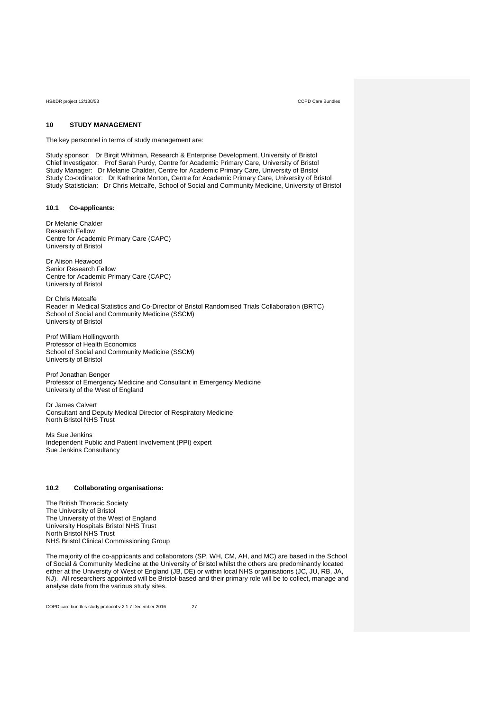# **10 STUDY MANAGEMENT**

The key personnel in terms of study management are:

Study sponsor: Dr Birgit Whitman, Research & Enterprise Development, University of Bristol Chief Investigator: Prof Sarah Purdy, Centre for Academic Primary Care, University of Bristol Study Manager: Dr Melanie Chalder, Centre for Academic Primary Care, University of Bristol Study Co-ordinator: Dr Katherine Morton, Centre for Academic Primary Care, University of Bristol Study Statistician: Dr Chris Metcalfe, School of Social and Community Medicine, University of Bristol

# **10.1 Co-applicants:**

Dr Melanie Chalder Research Fellow Centre for Academic Primary Care (CAPC) University of Bristol

Dr Alison Heawood Senior Research Fellow Centre for Academic Primary Care (CAPC) University of Bristol

Dr Chris Metcalfe Reader in Medical Statistics and Co-Director of Bristol Randomised Trials Collaboration (BRTC) School of Social and Community Medicine (SSCM) University of Bristol

Prof William Hollingworth Professor of Health Economics School of Social and Community Medicine (SSCM) University of Bristol

Prof Jonathan Benger Professor of Emergency Medicine and Consultant in Emergency Medicine University of the West of England

Dr James Calvert Consultant and Deputy Medical Director of Respiratory Medicine North Bristol NHS Trust

Ms Sue Jenkins Independent Public and Patient Involvement (PPI) expert Sue Jenkins Consultancy

# **10.2 Collaborating organisations:**

The British Thoracic Society The University of Bristol The University of the West of England University Hospitals Bristol NHS Trust North Bristol NHS Trust NHS Bristol Clinical Commissioning Group

The majority of the co-applicants and collaborators (SP, WH, CM, AH, and MC) are based in the School of Social & Community Medicine at the University of Bristol whilst the others are predominantly located either at the University of West of England (JB, DE) or within local NHS organisations (JC, JU, RB, JA, NJ). All researchers appointed will be Bristol-based and their primary role will be to collect, manage and analyse data from the various study sites.

COPD care bundles study protocol v.2.1 7 December 2016 27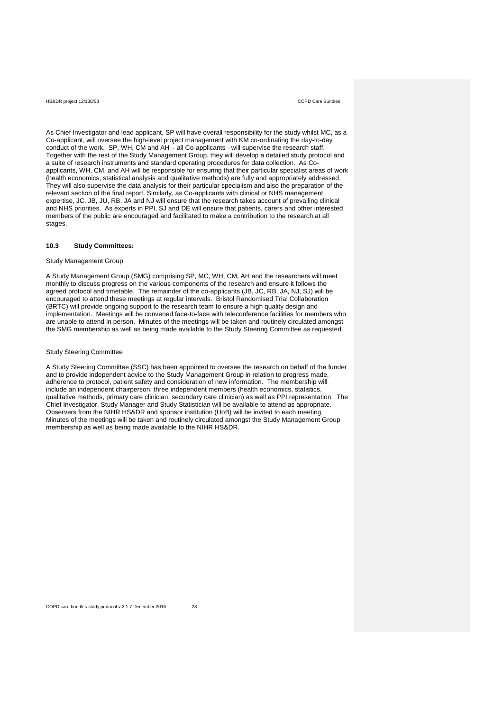As Chief Investigator and lead applicant, SP will have overall responsibility for the study whilst MC, as a Co-applicant, will oversee the high-level project management with KM co-ordinating the day-to-day conduct of the work. SP, WH, CM and AH – all Co-applicants - will supervise the research staff. Together with the rest of the Study Management Group, they will develop a detailed study protocol and a suite of research instruments and standard operating procedures for data collection. As Coapplicants, WH, CM, and AH will be responsible for ensuring that their particular specialist areas of work (health economics, statistical analysis and qualitative methods) are fully and appropriately addressed. They will also supervise the data analysis for their particular specialism and also the preparation of the relevant section of the final report. Similarly, as Co-applicants with clinical or NHS management expertise, JC, JB, JU, RB, JA and NJ will ensure that the research takes account of prevailing clinical and NHS priorities. As experts in PPI, SJ and DE will ensure that patients, carers and other interested members of the public are encouraged and facilitated to make a contribution to the research at all stages.

### **10.3 Study Committees:**

# Study Management Group

A Study Management Group (SMG) comprising SP, MC, WH, CM, AH and the researchers will meet monthly to discuss progress on the various components of the research and ensure it follows the agreed protocol and timetable. The remainder of the co-applicants (JB, JC, RB, JA, NJ, SJ) will be encouraged to attend these meetings at regular intervals. Bristol Randomised Trial Collaboration (BRTC) will provide ongoing support to the research team to ensure a high quality design and implementation. Meetings will be convened face-to-face with teleconference facilities for members who are unable to attend in person. Minutes of the meetings will be taken and routinely circulated amongst the SMG membership as well as being made available to the Study Steering Committee as requested.

### Study Steering Committee

A Study Steering Committee (SSC) has been appointed to oversee the research on behalf of the funder and to provide independent advice to the Study Management Group in relation to progress made, adherence to protocol, patient safety and consideration of new information. The membership will include an independent chairperson, three independent members (health economics, statistics, qualitative methods, primary care clinician, secondary care clinician) as well as PPI representation. The Chief Investigator, Study Manager and Study Statistician will be available to attend as appropriate. Observers from the NIHR HS&DR and sponsor institution (UoB) will be invited to each meeting. Minutes of the meetings will be taken and routinely circulated amongst the Study Management Group membership as well as being made available to the NIHR HS&DR.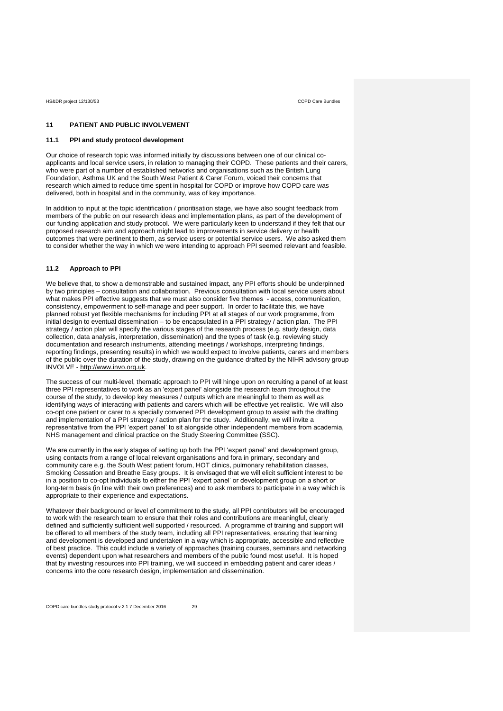# **11 PATIENT AND PUBLIC INVOLVEMENT**

# **11.1 PPI and study protocol development**

Our choice of research topic was informed initially by discussions between one of our clinical coapplicants and local service users, in relation to managing their COPD. These patients and their carers, who were part of a number of established networks and organisations such as the British Lung Foundation, Asthma UK and the South West Patient & Carer Forum, voiced their concerns that research which aimed to reduce time spent in hospital for COPD or improve how COPD care was delivered, both in hospital and in the community, was of key importance.

In addition to input at the topic identification / prioritisation stage, we have also sought feedback from members of the public on our research ideas and implementation plans, as part of the development of our funding application and study protocol. We were particularly keen to understand if they felt that our proposed research aim and approach might lead to improvements in service delivery or health outcomes that were pertinent to them, as service users or potential service users. We also asked them to consider whether the way in which we were intending to approach PPI seemed relevant and feasible.

# **11.2 Approach to PPI**

We believe that, to show a demonstrable and sustained impact, any PPI efforts should be underpinned by two principles – consultation and collaboration. Previous consultation with local service users about what makes PPI effective suggests that we must also consider five themes - access, communication, consistency, empowerment to self-manage and peer support. In order to facilitate this, we have planned robust yet flexible mechanisms for including PPI at all stages of our work programme, from initial design to eventual dissemination – to be encapsulated in a PPI strategy / action plan. The PPI strategy / action plan will specify the various stages of the research process (e.g. study design, data collection, data analysis, interpretation, dissemination) and the types of task (e.g. reviewing study documentation and research instruments, attending meetings / workshops, interpreting findings, reporting findings, presenting results) in which we would expect to involve patients, carers and members of the public over the duration of the study, drawing on the guidance drafted by the NIHR advisory group INVOLVE - [http://www.invo.org.uk.](http://www.invo.org.uk/) 

The success of our multi-level, thematic approach to PPI will hinge upon on recruiting a panel of at least three PPI representatives to work as an 'expert panel' alongside the research team throughout the course of the study, to develop key measures / outputs which are meaningful to them as well as identifying ways of interacting with patients and carers which will be effective yet realistic. We will also co-opt one patient or carer to a specially convened PPI development group to assist with the drafting and implementation of a PPI strategy / action plan for the study. Additionally, we will invite a representative from the PPI 'expert panel' to sit alongside other independent members from academia, NHS management and clinical practice on the Study Steering Committee (SSC).

We are currently in the early stages of setting up both the PPI 'expert panel' and development group, using contacts from a range of local relevant organisations and fora in primary, secondary and community care e.g. the South West patient forum, HOT clinics, pulmonary rehabilitation classes, Smoking Cessation and Breathe Easy groups. It is envisaged that we will elicit sufficient interest to be in a position to co-opt individuals to either the PPI 'expert panel' or development group on a short or long-term basis (in line with their own preferences) and to ask members to participate in a way which is appropriate to their experience and expectations.

Whatever their background or level of commitment to the study, all PPI contributors will be encouraged to work with the research team to ensure that their roles and contributions are meaningful, clearly defined and sufficiently sufficient well supported / resourced. A programme of training and support will be offered to all members of the study team, including all PPI representatives, ensuring that learning and development is developed and undertaken in a way which is appropriate, accessible and reflective of best practice. This could include a variety of approaches (training courses, seminars and networking events) dependent upon what researchers and members of the public found most useful. It is hoped that by investing resources into PPI training, we will succeed in embedding patient and carer ideas / concerns into the core research design, implementation and dissemination.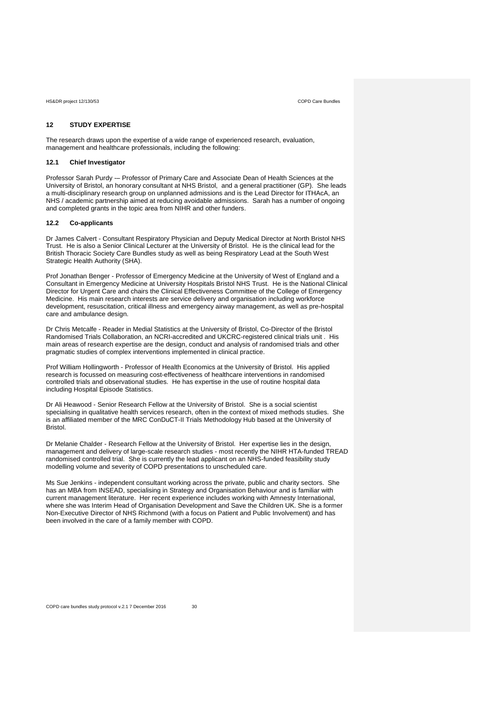# **12 STUDY EXPERTISE**

The research draws upon the expertise of a wide range of experienced research, evaluation, management and healthcare professionals, including the following:

# **12.1 Chief Investigator**

Professor Sarah Purdy -– Professor of Primary Care and Associate Dean of Health Sciences at the University of Bristol, an honorary consultant at NHS Bristol, and a general practitioner (GP). She leads a multi-disciplinary research group on unplanned admissions and is the Lead Director for ITHAcA, an NHS / academic partnership aimed at reducing avoidable admissions. Sarah has a number of ongoing and completed grants in the topic area from NIHR and other funders.

# **12.2 Co-applicants**

Dr James Calvert - Consultant Respiratory Physician and Deputy Medical Director at North Bristol NHS Trust. He is also a Senior Clinical Lecturer at the University of Bristol. He is the clinical lead for the British Thoracic Society Care Bundles study as well as being Respiratory Lead at the South West Strategic Health Authority (SHA).

Prof Jonathan Benger - Professor of Emergency Medicine at the University of West of England and a Consultant in Emergency Medicine at University Hospitals Bristol NHS Trust. He is the National Clinical Director for Urgent Care and chairs the Clinical Effectiveness Committee of the College of Emergency Medicine. His main research interests are service delivery and organisation including workforce development, resuscitation, critical illness and emergency airway management, as well as pre-hospital care and ambulance design.

Dr Chris Metcalfe - Reader in Medial Statistics at the University of Bristol, Co-Director of the Bristol Randomised Trials Collaboration, an NCRI-accredited and UKCRC-registered clinical trials unit . His main areas of research expertise are the design, conduct and analysis of randomised trials and other pragmatic studies of complex interventions implemented in clinical practice.

Prof William Hollingworth - Professor of Health Economics at the University of Bristol. His applied research is focussed on measuring cost-effectiveness of healthcare interventions in randomised controlled trials and observational studies. He has expertise in the use of routine hospital data including Hospital Episode Statistics.

Dr Ali Heawood - Senior Research Fellow at the University of Bristol. She is a social scientist specialising in qualitative health services research, often in the context of mixed methods studies. She is an affiliated member of the MRC ConDuCT-II Trials Methodology Hub based at the University of Bristol.

Dr Melanie Chalder - Research Fellow at the University of Bristol. Her expertise lies in the design, management and delivery of large-scale research studies - most recently the NIHR HTA-funded TREAD randomised controlled trial. She is currently the lead applicant on an NHS-funded feasibility study modelling volume and severity of COPD presentations to unscheduled care.

Ms Sue Jenkins - independent consultant working across the private, public and charity sectors. She has an MBA from INSEAD, specialising in Strategy and Organisation Behaviour and is familiar with current management literature. Her recent experience includes working with Amnesty International, where she was Interim Head of Organisation Development and Save the Children UK. She is a former Non-Executive Director of NHS Richmond (with a focus on Patient and Public Involvement) and has been involved in the care of a family member with COPD.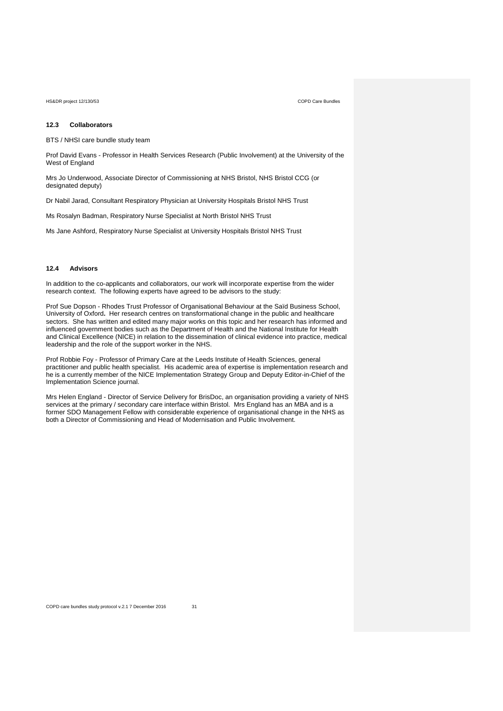## **12.3 Collaborators**

BTS / NHSI care bundle study team

Prof David Evans - Professor in Health Services Research (Public Involvement) at the University of the West of England

Mrs Jo Underwood, Associate Director of Commissioning at NHS Bristol, NHS Bristol CCG (or designated deputy)

Dr Nabil Jarad, Consultant Respiratory Physician at University Hospitals Bristol NHS Trust

Ms Rosalyn Badman, Respiratory Nurse Specialist at North Bristol NHS Trust

Ms Jane Ashford, Respiratory Nurse Specialist at University Hospitals Bristol NHS Trust

# **12.4 Advisors**

In addition to the co-applicants and collaborators, our work will incorporate expertise from the wider research context. The following experts have agreed to be advisors to the study:

Prof Sue Dopson - Rhodes Trust Professor of Organisational Behaviour at the Saïd Business School, University of Oxford**.** Her research centres on transformational change in the public and healthcare sectors. She has written and edited many major works on this topic and her research has informed and influenced government bodies such as the Department of Health and the National Institute for Health and Clinical Excellence (NICE) in relation to the dissemination of clinical evidence into practice, medical leadership and the role of the support worker in the NHS.

Prof Robbie Foy - Professor of Primary Care at the Leeds Institute of Health Sciences, general practitioner and public health specialist. His academic area of expertise is implementation research and he is a currently member of the NICE Implementation Strategy Group and Deputy Editor-in-Chief of the Implementation Science journal.

Mrs Helen England - Director of Service Delivery for BrisDoc, an organisation providing a variety of NHS services at the primary / secondary care interface within Bristol. Mrs England has an MBA and is a former SDO Management Fellow with considerable experience of organisational change in the NHS as both a Director of Commissioning and Head of Modernisation and Public Involvement.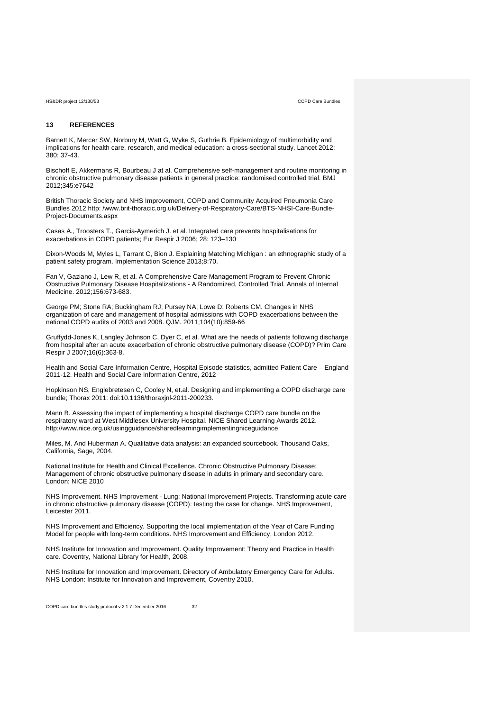# **13 REFERENCES**

Barnett K, Mercer SW, Norbury M, Watt G, Wyke S, Guthrie B. Epidemiology of multimorbidity and implications for health care, research, and medical education: a cross-sectional study. Lancet 2012; 380: 37-43.

Bischoff E, Akkermans R, Bourbeau J at al. Comprehensive self-management and routine monitoring in chronic obstructive pulmonary disease patients in general practice: randomised controlled trial. BMJ 2012;345:e7642

British Thoracic Society and NHS Improvement, COPD and Community Acquired Pneumonia Care Bundles 2012 http: /www.brit-thoracic.org.uk/Delivery-of-Respiratory-Care/BTS-NHSI-Care-Bundle-Project-Documents.aspx

Casas A., Troosters T., Garcia‐Aymerich J. et al. Integrated care prevents hospitalisations for exacerbations in COPD patients; Eur Respir J 2006; 28: 123–130

Dixon-Woods M, Myles L, Tarrant C, Bion J. Explaining Matching Michigan : an ethnographic study of a patient safety program. Implementation Science 2013;8:70.

Fan V, Gaziano J, Lew R, et al. A Comprehensive Care Management Program to Prevent Chronic Obstructive Pulmonary Disease Hospitalizations - A Randomized, Controlled Trial. Annals of Internal Medicine. 2012;156:673-683.

George PM; Stone RA; Buckingham RJ; Pursey NA; Lowe D; Roberts CM. Changes in NHS organization of care and management of hospital admissions with COPD exacerbations between the national COPD audits of 2003 and 2008. QJM. 2011;104(10):859-66

Gruffydd-Jones K, Langley Johnson C, Dyer C, et al. What are the needs of patients following discharge from hospital after an acute exacerbation of chronic obstructive pulmonary disease (COPD)? Prim Care Respir J 2007;16(6):363-8.

Health and Social Care Information Centre, Hospital Episode statistics, admitted Patient Care – England 2011-12. Health and Social Care Information Centre, 2012

Hopkinson NS, Englebretesen C, Cooley N, et.al. Designing and implementing a COPD discharge care bundle; Thorax 2011: doi:10.1136/thoraxjnl‐2011‐200233.

Mann B. Assessing the impact of implementing a hospital discharge COPD care bundle on the respiratory ward at West Middlesex University Hospital. NICE Shared Learning Awards 2012. http://www.nice.org.uk/usingguidance/sharedlearningimplementingniceguidance

Miles, M. And Huberman A. Qualitative data analysis: an expanded sourcebook. Thousand Oaks, California, Sage, 2004.

National Institute for Health and Clinical Excellence. Chronic Obstructive Pulmonary Disease: Management of chronic obstructive pulmonary disease in adults in primary and secondary care. London: NICE 2010

NHS Improvement. NHS Improvement - Lung: National Improvement Projects. Transforming acute care in chronic obstructive pulmonary disease (COPD): testing the case for change. NHS Improvement, Leicester 2011.

NHS Improvement and Efficiency. Supporting the local implementation of the Year of Care Funding Model for people with long-term conditions. NHS Improvement and Efficiency, London 2012.

NHS Institute for Innovation and Improvement. Quality Improvement: Theory and Practice in Health care. Coventry, National Library for Health, 2008.

NHS Institute for Innovation and Improvement. Directory of Ambulatory Emergency Care for Adults. NHS London: Institute for Innovation and Improvement, Coventry 2010.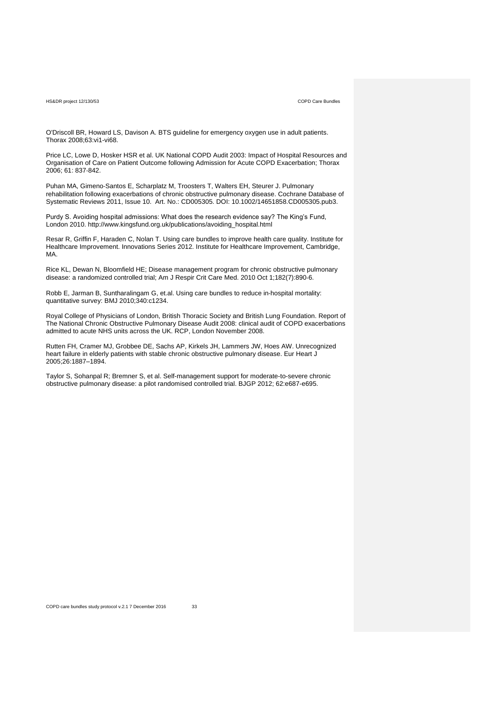O'Driscoll BR, Howard LS, Davison A. BTS guideline for emergency oxygen use in adult patients. Thorax 2008;63:vi1-vi68.

Price LC, Lowe D, Hosker HSR et al. UK National COPD Audit 2003: Impact of Hospital Resources and Organisation of Care on Patient Outcome following Admission for Acute COPD Exacerbation; Thorax 2006; 61: 837‐842.

Puhan MA, Gimeno‐Santos E, Scharplatz M, Troosters T, Walters EH, Steurer J. Pulmonary rehabilitation following exacerbations of chronic obstructive pulmonary disease. Cochrane Database of Systematic Reviews 2011, Issue 10. Art. No.: CD005305. DOI: 10.1002/14651858.CD005305.pub3.

Purdy S. Avoiding hospital admissions: What does the research evidence say? The King's Fund, London 2010. http://www.kingsfund.org.uk/publications/avoiding\_hospital.html

Resar R, Griffin F, Haraden C, Nolan T. Using care bundles to improve health care quality. Institute for Healthcare Improvement. Innovations Series 2012. Institute for Healthcare Improvement, Cambridge, MA.

Rice KL, Dewan N, Bloomfield HE; Disease management program for chronic obstructive pulmonary disease: a randomized controlled trial; Am J Respir Crit Care Med. 2010 Oct 1;182(7):890‐6.

Robb E, Jarman B, Suntharalingam G, et.al. Using care bundles to reduce in‐hospital mortality: quantitative survey: BMJ 2010;340:c1234.

Royal College of Physicians of London, British Thoracic Society and British Lung Foundation. Report of The National Chronic Obstructive Pulmonary Disease Audit 2008: clinical audit of COPD exacerbations admitted to acute NHS units across the UK. RCP, London November 2008.

Rutten FH, Cramer MJ, Grobbee DE, Sachs AP, Kirkels JH, Lammers JW, Hoes AW. Unrecognized heart failure in elderly patients with stable chronic obstructive pulmonary disease. Eur Heart J 2005;26:1887–1894.

Taylor S, Sohanpal R; Bremner S, et al. Self-management support for moderate-to-severe chronic obstructive pulmonary disease: a pilot randomised controlled trial. BJGP 2012; 62:e687-e695.